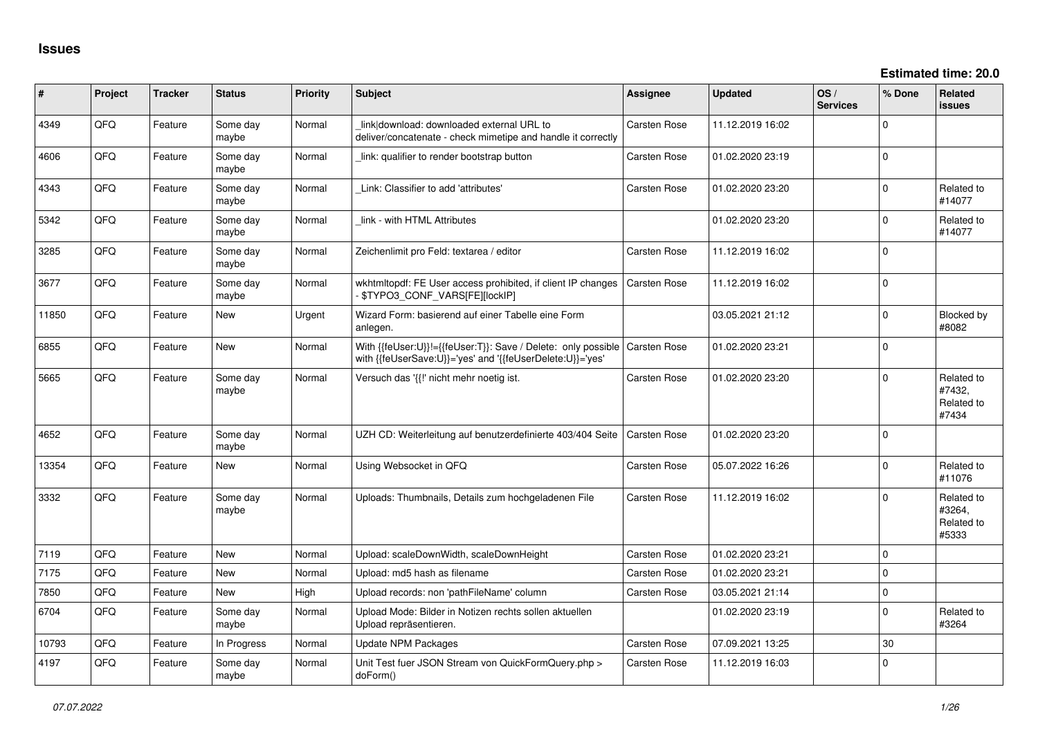| $\vert$ # | Project | <b>Tracker</b> | <b>Status</b>     | Priority | <b>Subject</b>                                                                                                             | <b>Assignee</b>     | <b>Updated</b>   | OS/<br><b>Services</b> | % Done      | Related<br><b>issues</b>                    |
|-----------|---------|----------------|-------------------|----------|----------------------------------------------------------------------------------------------------------------------------|---------------------|------------------|------------------------|-------------|---------------------------------------------|
| 4349      | QFQ     | Feature        | Some day<br>maybe | Normal   | link download: downloaded external URL to<br>deliver/concatenate - check mimetipe and handle it correctly                  | Carsten Rose        | 11.12.2019 16:02 |                        | $\Omega$    |                                             |
| 4606      | QFQ     | Feature        | Some day<br>maybe | Normal   | link: qualifier to render bootstrap button                                                                                 | Carsten Rose        | 01.02.2020 23:19 |                        | $\mathbf 0$ |                                             |
| 4343      | QFQ     | Feature        | Some day<br>maybe | Normal   | Link: Classifier to add 'attributes'                                                                                       | Carsten Rose        | 01.02.2020 23:20 |                        | $\Omega$    | Related to<br>#14077                        |
| 5342      | QFQ     | Feature        | Some day<br>maybe | Normal   | link - with HTML Attributes                                                                                                |                     | 01.02.2020 23:20 |                        | $\Omega$    | Related to<br>#14077                        |
| 3285      | QFQ     | Feature        | Some day<br>maybe | Normal   | Zeichenlimit pro Feld: textarea / editor                                                                                   | Carsten Rose        | 11.12.2019 16:02 |                        | $\Omega$    |                                             |
| 3677      | QFQ     | Feature        | Some day<br>maybe | Normal   | wkhtmltopdf: FE User access prohibited, if client IP changes<br>\$TYPO3_CONF_VARS[FE][lockIP]                              | Carsten Rose        | 11.12.2019 16:02 |                        | $\Omega$    |                                             |
| 11850     | QFQ     | Feature        | <b>New</b>        | Urgent   | Wizard Form: basierend auf einer Tabelle eine Form<br>anlegen.                                                             |                     | 03.05.2021 21:12 |                        | $\Omega$    | Blocked by<br>#8082                         |
| 6855      | QFQ     | Feature        | New               | Normal   | With {{feUser:U}}!={{feUser:T}}: Save / Delete: only possible<br>with {{feUserSave:U}}='yes' and '{{feUserDelete:U}}='yes' | Carsten Rose        | 01.02.2020 23:21 |                        | $\pmb{0}$   |                                             |
| 5665      | QFQ     | Feature        | Some day<br>maybe | Normal   | Versuch das '{{!' nicht mehr noetig ist.                                                                                   | Carsten Rose        | 01.02.2020 23:20 |                        | $\mathbf 0$ | Related to<br>#7432,<br>Related to<br>#7434 |
| 4652      | QFQ     | Feature        | Some day<br>maybe | Normal   | UZH CD: Weiterleitung auf benutzerdefinierte 403/404 Seite                                                                 | Carsten Rose        | 01.02.2020 23:20 |                        | $\mathbf 0$ |                                             |
| 13354     | QFQ     | Feature        | New               | Normal   | Using Websocket in QFQ                                                                                                     | Carsten Rose        | 05.07.2022 16:26 |                        | $\mathbf 0$ | Related to<br>#11076                        |
| 3332      | QFQ     | Feature        | Some day<br>maybe | Normal   | Uploads: Thumbnails, Details zum hochgeladenen File                                                                        | <b>Carsten Rose</b> | 11.12.2019 16:02 |                        | $\mathbf 0$ | Related to<br>#3264,<br>Related to<br>#5333 |
| 7119      | QFQ     | Feature        | <b>New</b>        | Normal   | Upload: scaleDownWidth, scaleDownHeight                                                                                    | Carsten Rose        | 01.02.2020 23:21 |                        | $\mathbf 0$ |                                             |
| 7175      | QFQ     | Feature        | New               | Normal   | Upload: md5 hash as filename                                                                                               | Carsten Rose        | 01.02.2020 23:21 |                        | $\mathbf 0$ |                                             |
| 7850      | QFQ     | Feature        | <b>New</b>        | High     | Upload records: non 'pathFileName' column                                                                                  | Carsten Rose        | 03.05.2021 21:14 |                        | $\mathbf 0$ |                                             |
| 6704      | QFQ     | Feature        | Some day<br>maybe | Normal   | Upload Mode: Bilder in Notizen rechts sollen aktuellen<br>Upload repräsentieren.                                           |                     | 01.02.2020 23:19 |                        | $\mathbf 0$ | Related to<br>#3264                         |
| 10793     | QFQ     | Feature        | In Progress       | Normal   | <b>Update NPM Packages</b>                                                                                                 | Carsten Rose        | 07.09.2021 13:25 |                        | 30          |                                             |
| 4197      | QFQ     | Feature        | Some day<br>maybe | Normal   | Unit Test fuer JSON Stream von QuickFormQuery.php ><br>doForm()                                                            | <b>Carsten Rose</b> | 11.12.2019 16:03 |                        | $\Omega$    |                                             |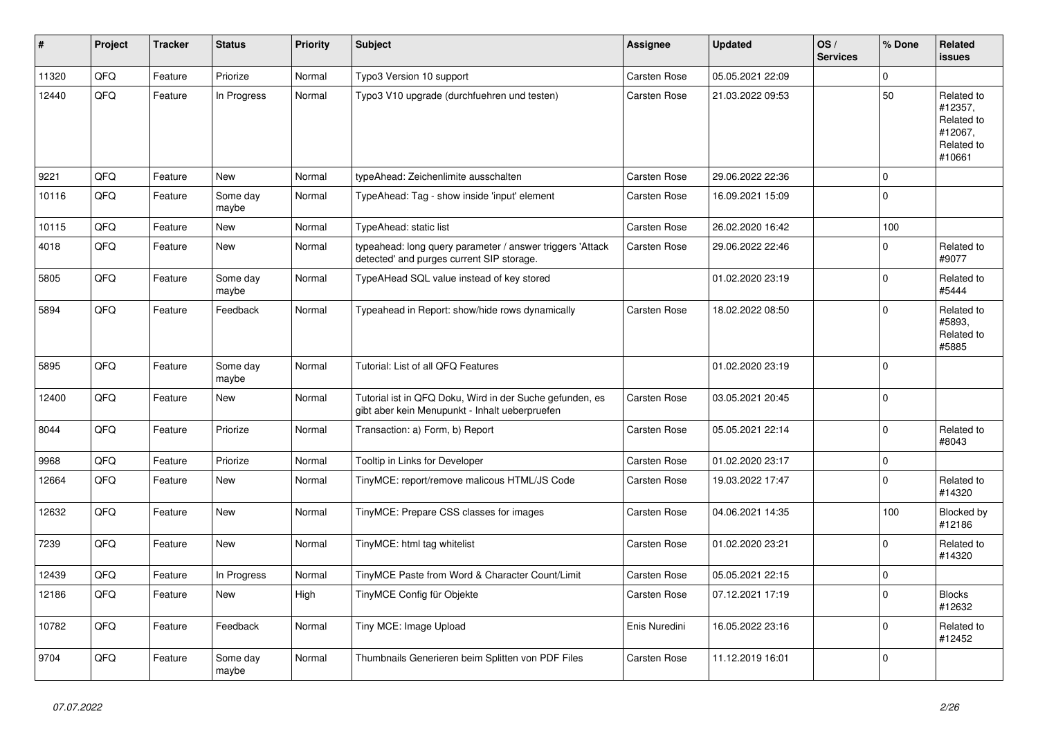| #     | <b>Project</b> | <b>Tracker</b> | <b>Status</b>     | <b>Priority</b> | <b>Subject</b>                                                                                             | <b>Assignee</b>     | <b>Updated</b>   | OS/<br><b>Services</b> | % Done      | <b>Related</b><br><b>issues</b>                                        |
|-------|----------------|----------------|-------------------|-----------------|------------------------------------------------------------------------------------------------------------|---------------------|------------------|------------------------|-------------|------------------------------------------------------------------------|
| 11320 | QFQ            | Feature        | Priorize          | Normal          | Typo3 Version 10 support                                                                                   | <b>Carsten Rose</b> | 05.05.2021 22:09 |                        | $\mathbf 0$ |                                                                        |
| 12440 | QFQ            | Feature        | In Progress       | Normal          | Typo3 V10 upgrade (durchfuehren und testen)                                                                | <b>Carsten Rose</b> | 21.03.2022 09:53 |                        | 50          | Related to<br>#12357,<br>Related to<br>#12067,<br>Related to<br>#10661 |
| 9221  | QFQ            | Feature        | <b>New</b>        | Normal          | typeAhead: Zeichenlimite ausschalten                                                                       | <b>Carsten Rose</b> | 29.06.2022 22:36 |                        | $\mathbf 0$ |                                                                        |
| 10116 | QFQ            | Feature        | Some day<br>maybe | Normal          | TypeAhead: Tag - show inside 'input' element                                                               | Carsten Rose        | 16.09.2021 15:09 |                        | $\Omega$    |                                                                        |
| 10115 | QFQ            | Feature        | New               | Normal          | TypeAhead: static list                                                                                     | <b>Carsten Rose</b> | 26.02.2020 16:42 |                        | 100         |                                                                        |
| 4018  | QFQ            | Feature        | New               | Normal          | typeahead: long query parameter / answer triggers 'Attack<br>detected' and purges current SIP storage.     | Carsten Rose        | 29.06.2022 22:46 |                        | $\mathbf 0$ | Related to<br>#9077                                                    |
| 5805  | QFQ            | Feature        | Some day<br>maybe | Normal          | TypeAHead SQL value instead of key stored                                                                  |                     | 01.02.2020 23:19 |                        | $\mathbf 0$ | Related to<br>#5444                                                    |
| 5894  | QFQ            | Feature        | Feedback          | Normal          | Typeahead in Report: show/hide rows dynamically                                                            | <b>Carsten Rose</b> | 18.02.2022 08:50 |                        | $\mathbf 0$ | Related to<br>#5893,<br>Related to<br>#5885                            |
| 5895  | QFQ            | Feature        | Some day<br>maybe | Normal          | Tutorial: List of all QFQ Features                                                                         |                     | 01.02.2020 23:19 |                        | $\mathbf 0$ |                                                                        |
| 12400 | QFQ            | Feature        | New               | Normal          | Tutorial ist in QFQ Doku, Wird in der Suche gefunden, es<br>gibt aber kein Menupunkt - Inhalt ueberpruefen | Carsten Rose        | 03.05.2021 20:45 |                        | $\mathbf 0$ |                                                                        |
| 8044  | QFQ            | Feature        | Priorize          | Normal          | Transaction: a) Form, b) Report                                                                            | Carsten Rose        | 05.05.2021 22:14 |                        | $\Omega$    | Related to<br>#8043                                                    |
| 9968  | QFQ            | Feature        | Priorize          | Normal          | Tooltip in Links for Developer                                                                             | <b>Carsten Rose</b> | 01.02.2020 23:17 |                        | $\mathbf 0$ |                                                                        |
| 12664 | QFQ            | Feature        | New               | Normal          | TinyMCE: report/remove malicous HTML/JS Code                                                               | <b>Carsten Rose</b> | 19.03.2022 17:47 |                        | $\mathbf 0$ | Related to<br>#14320                                                   |
| 12632 | QFQ            | Feature        | New               | Normal          | TinyMCE: Prepare CSS classes for images                                                                    | Carsten Rose        | 04.06.2021 14:35 |                        | 100         | Blocked by<br>#12186                                                   |
| 7239  | QFQ            | Feature        | <b>New</b>        | Normal          | TinyMCE: html tag whitelist                                                                                | Carsten Rose        | 01.02.2020 23:21 |                        | $\Omega$    | Related to<br>#14320                                                   |
| 12439 | QFQ            | Feature        | In Progress       | Normal          | TinyMCE Paste from Word & Character Count/Limit                                                            | Carsten Rose        | 05.05.2021 22:15 |                        | $\pmb{0}$   |                                                                        |
| 12186 | QFQ            | Feature        | New               | High            | TinyMCE Config für Objekte                                                                                 | Carsten Rose        | 07.12.2021 17:19 |                        | $\mathbf 0$ | <b>Blocks</b><br>#12632                                                |
| 10782 | QFQ            | Feature        | Feedback          | Normal          | Tiny MCE: Image Upload                                                                                     | Enis Nuredini       | 16.05.2022 23:16 |                        | $\Omega$    | Related to<br>#12452                                                   |
| 9704  | QFQ            | Feature        | Some day<br>maybe | Normal          | Thumbnails Generieren beim Splitten von PDF Files                                                          | Carsten Rose        | 11.12.2019 16:01 |                        | $\mathbf 0$ |                                                                        |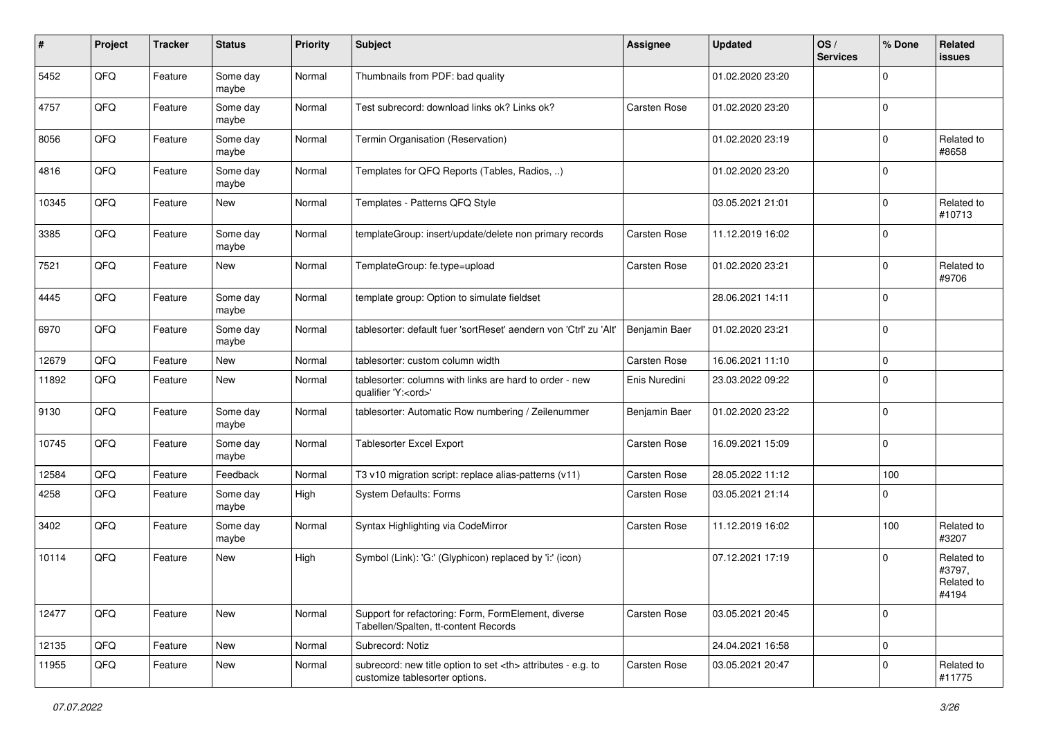| ∦     | Project | <b>Tracker</b> | <b>Status</b>     | <b>Priority</b> | <b>Subject</b>                                                                                       | <b>Assignee</b>                                        | <b>Updated</b>   | OS/<br><b>Services</b> | % Done      | Related<br>issues                           |                      |
|-------|---------|----------------|-------------------|-----------------|------------------------------------------------------------------------------------------------------|--------------------------------------------------------|------------------|------------------------|-------------|---------------------------------------------|----------------------|
| 5452  | QFQ     | Feature        | Some day<br>maybe | Normal          | Thumbnails from PDF: bad quality                                                                     |                                                        | 01.02.2020 23:20 |                        | $\mathbf 0$ |                                             |                      |
| 4757  | QFQ     | Feature        | Some day<br>maybe | Normal          | Test subrecord: download links ok? Links ok?                                                         | <b>Carsten Rose</b>                                    | 01.02.2020 23:20 |                        | $\mathbf 0$ |                                             |                      |
| 8056  | QFQ     | Feature        | Some day<br>maybe | Normal          | Termin Organisation (Reservation)                                                                    |                                                        | 01.02.2020 23:19 |                        | $\mathbf 0$ | Related to<br>#8658                         |                      |
| 4816  | QFQ     | Feature        | Some day<br>maybe | Normal          | Templates for QFQ Reports (Tables, Radios, )                                                         |                                                        | 01.02.2020 23:20 |                        | $\mathbf 0$ |                                             |                      |
| 10345 | QFQ     | Feature        | New               | Normal          | Templates - Patterns QFQ Style                                                                       |                                                        | 03.05.2021 21:01 |                        | $\mathbf 0$ | Related to<br>#10713                        |                      |
| 3385  | QFQ     | Feature        | Some day<br>maybe | Normal          | templateGroup: insert/update/delete non primary records                                              | Carsten Rose                                           | 11.12.2019 16:02 |                        | $\mathbf 0$ |                                             |                      |
| 7521  | QFQ     | Feature        | New               | Normal          | TemplateGroup: fe.type=upload                                                                        | <b>Carsten Rose</b>                                    | 01.02.2020 23:21 |                        | $\mathbf 0$ | Related to<br>#9706                         |                      |
| 4445  | QFQ     | Feature        | Some day<br>maybe | Normal          | template group: Option to simulate fieldset                                                          |                                                        | 28.06.2021 14:11 |                        | $\mathbf 0$ |                                             |                      |
| 6970  | QFQ     | Feature        | Some day<br>maybe | Normal          | tablesorter: default fuer 'sortReset' aendern von 'Ctrl' zu 'Alt'                                    | Benjamin Baer                                          | 01.02.2020 23:21 |                        | $\mathbf 0$ |                                             |                      |
| 12679 | QFQ     | Feature        | New               | Normal          | tablesorter: custom column width                                                                     | Carsten Rose                                           | 16.06.2021 11:10 |                        | $\mathbf 0$ |                                             |                      |
| 11892 | QFQ     | Feature        | New               | Normal          | tablesorter: columns with links are hard to order - new<br>qualifier 'Y: <ord>'</ord>                | Enis Nuredini                                          | 23.03.2022 09:22 |                        | $\mathbf 0$ |                                             |                      |
| 9130  | QFQ     | Feature        | Some day<br>maybe | Normal          | tablesorter: Automatic Row numbering / Zeilenummer                                                   | Benjamin Baer                                          | 01.02.2020 23:22 |                        | $\mathbf 0$ |                                             |                      |
| 10745 | QFQ     | Feature        | Some day<br>maybe | Normal          | <b>Tablesorter Excel Export</b>                                                                      | <b>Carsten Rose</b>                                    | 16.09.2021 15:09 |                        | $\mathbf 0$ |                                             |                      |
| 12584 | QFQ     | Feature        | Feedback          | Normal          | T3 v10 migration script: replace alias-patterns (v11)                                                | <b>Carsten Rose</b>                                    | 28.05.2022 11:12 |                        | 100         |                                             |                      |
| 4258  | QFQ     | Feature        | Some day<br>maybe | High            | <b>System Defaults: Forms</b>                                                                        | <b>Carsten Rose</b>                                    | 03.05.2021 21:14 |                        | $\Omega$    |                                             |                      |
| 3402  | QFQ     | Feature        | Some day<br>maybe | Normal          | Syntax Highlighting via CodeMirror                                                                   | <b>Carsten Rose</b>                                    | 11.12.2019 16:02 |                        | 100         | Related to<br>#3207                         |                      |
| 10114 | QFQ     | Feature        | New               | High            | Symbol (Link): 'G:' (Glyphicon) replaced by 'i:' (icon)                                              |                                                        | 07.12.2021 17:19 |                        | $\mathbf 0$ | Related to<br>#3797,<br>Related to<br>#4194 |                      |
| 12477 | QFQ     | Feature        | New               | Normal          | Support for refactoring: Form, FormElement, diverse<br>Tabellen/Spalten, tt-content Records          | Carsten Rose                                           | 03.05.2021 20:45 |                        | $\mathbf 0$ |                                             |                      |
| 12135 | QFQ     | Feature        | New               | Normal          | Subrecord: Notiz                                                                                     |                                                        | 24.04.2021 16:58 |                        | $\pmb{0}$   |                                             |                      |
| 11955 | QFQ     | Feature        | New               | Normal          | subrecord: new title option to set <th> attributes - e.g. to<br/>customize tablesorter options.</th> | attributes - e.g. to<br>customize tablesorter options. | Carsten Rose     | 03.05.2021 20:47       |             | $\pmb{0}$                                   | Related to<br>#11775 |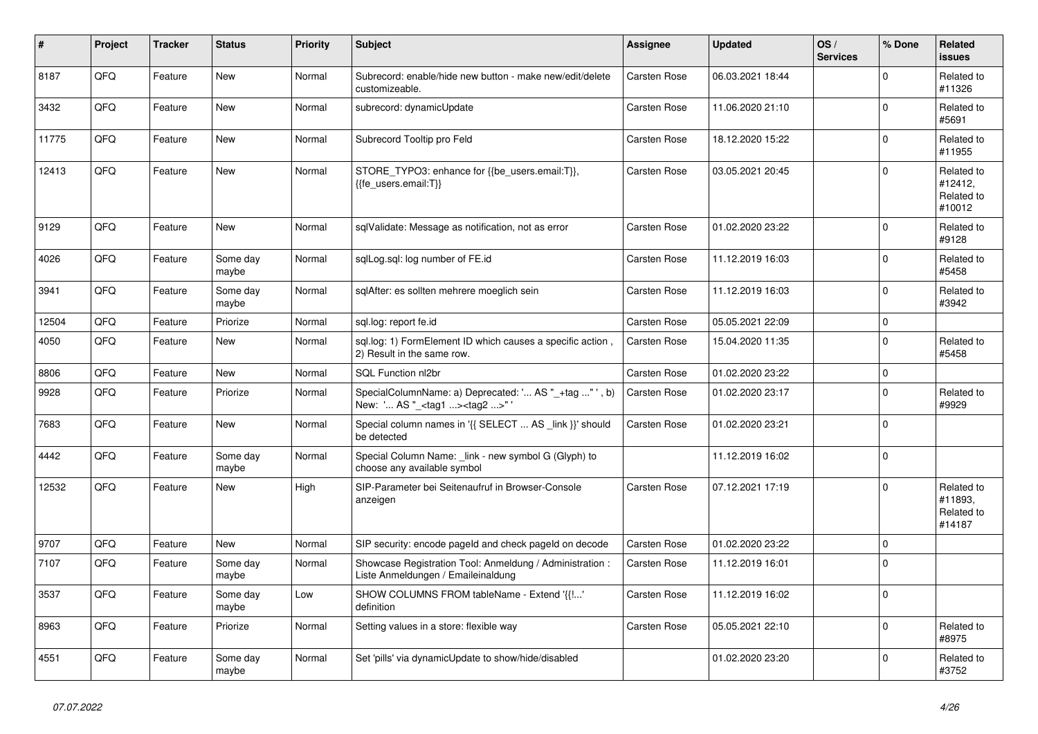| #     | <b>Project</b> | <b>Tracker</b> | <b>Status</b>     | <b>Priority</b> | <b>Subject</b>                                                                                   | Assignee            | <b>Updated</b>   | OS/<br><b>Services</b> | % Done      | Related<br>issues                             |
|-------|----------------|----------------|-------------------|-----------------|--------------------------------------------------------------------------------------------------|---------------------|------------------|------------------------|-------------|-----------------------------------------------|
| 8187  | QFQ            | Feature        | <b>New</b>        | Normal          | Subrecord: enable/hide new button - make new/edit/delete<br>customizeable.                       | <b>Carsten Rose</b> | 06.03.2021 18:44 |                        | $\mathbf 0$ | Related to<br>#11326                          |
| 3432  | QFQ            | Feature        | <b>New</b>        | Normal          | subrecord: dynamicUpdate                                                                         | <b>Carsten Rose</b> | 11.06.2020 21:10 |                        | $\mathbf 0$ | Related to<br>#5691                           |
| 11775 | QFQ            | Feature        | New               | Normal          | Subrecord Tooltip pro Feld                                                                       | <b>Carsten Rose</b> | 18.12.2020 15:22 |                        | $\mathbf 0$ | Related to<br>#11955                          |
| 12413 | QFQ            | Feature        | <b>New</b>        | Normal          | STORE_TYPO3: enhance for {{be_users.email:T}},<br>{{fe users.email:T}}                           | Carsten Rose        | 03.05.2021 20:45 |                        | $\mathbf 0$ | Related to<br>#12412,<br>Related to<br>#10012 |
| 9129  | QFQ            | Feature        | New               | Normal          | sqlValidate: Message as notification, not as error                                               | <b>Carsten Rose</b> | 01.02.2020 23:22 |                        | $\mathbf 0$ | Related to<br>#9128                           |
| 4026  | <b>OFO</b>     | Feature        | Some day<br>maybe | Normal          | sqlLog.sql: log number of FE.id                                                                  | Carsten Rose        | 11.12.2019 16:03 |                        | $\Omega$    | Related to<br>#5458                           |
| 3941  | QFQ            | Feature        | Some day<br>maybe | Normal          | sglAfter: es sollten mehrere moeglich sein                                                       | <b>Carsten Rose</b> | 11.12.2019 16:03 |                        | $\mathbf 0$ | Related to<br>#3942                           |
| 12504 | QFQ            | Feature        | Priorize          | Normal          | sql.log: report fe.id                                                                            | <b>Carsten Rose</b> | 05.05.2021 22:09 |                        | $\pmb{0}$   |                                               |
| 4050  | QFQ            | Feature        | New               | Normal          | sql.log: 1) FormElement ID which causes a specific action,<br>2) Result in the same row.         | <b>Carsten Rose</b> | 15.04.2020 11:35 |                        | $\mathbf 0$ | Related to<br>#5458                           |
| 8806  | QFQ            | Feature        | <b>New</b>        | Normal          | SQL Function nl2br                                                                               | Carsten Rose        | 01.02.2020 23:22 |                        | $\mathbf 0$ |                                               |
| 9928  | QFQ            | Feature        | Priorize          | Normal          | SpecialColumnName: a) Deprecated: ' AS "_+tag " ', b)<br>New: ' AS " <tag1><tag2>"</tag2></tag1> | <b>Carsten Rose</b> | 01.02.2020 23:17 |                        | $\mathbf 0$ | Related to<br>#9929                           |
| 7683  | QFQ            | Feature        | <b>New</b>        | Normal          | Special column names in '{{ SELECT  AS link }}' should<br>be detected                            | Carsten Rose        | 01.02.2020 23:21 |                        | $\mathbf 0$ |                                               |
| 4442  | QFQ            | Feature        | Some day<br>maybe | Normal          | Special Column Name: _link - new symbol G (Glyph) to<br>choose any available symbol              |                     | 11.12.2019 16:02 |                        | $\mathbf 0$ |                                               |
| 12532 | QFQ            | Feature        | <b>New</b>        | High            | SIP-Parameter bei Seitenaufruf in Browser-Console<br>anzeigen                                    | <b>Carsten Rose</b> | 07.12.2021 17:19 |                        | $\Omega$    | Related to<br>#11893.<br>Related to<br>#14187 |
| 9707  | QFQ            | Feature        | New               | Normal          | SIP security: encode pageld and check pageld on decode                                           | Carsten Rose        | 01.02.2020 23:22 |                        | $\pmb{0}$   |                                               |
| 7107  | QFQ            | Feature        | Some day<br>maybe | Normal          | Showcase Registration Tool: Anmeldung / Administration :<br>Liste Anmeldungen / Emaileinaldung   | Carsten Rose        | 11.12.2019 16:01 |                        | $\mathbf 0$ |                                               |
| 3537  | QFQ            | Feature        | Some day<br>maybe | Low             | SHOW COLUMNS FROM tableName - Extend '{{!'<br>definition                                         | Carsten Rose        | 11.12.2019 16:02 |                        | $\pmb{0}$   |                                               |
| 8963  | QFQ            | Feature        | Priorize          | Normal          | Setting values in a store: flexible way                                                          | Carsten Rose        | 05.05.2021 22:10 |                        | $\mathbf 0$ | Related to<br>#8975                           |
| 4551  | QFQ            | Feature        | Some day<br>maybe | Normal          | Set 'pills' via dynamicUpdate to show/hide/disabled                                              |                     | 01.02.2020 23:20 |                        | $\Omega$    | Related to<br>#3752                           |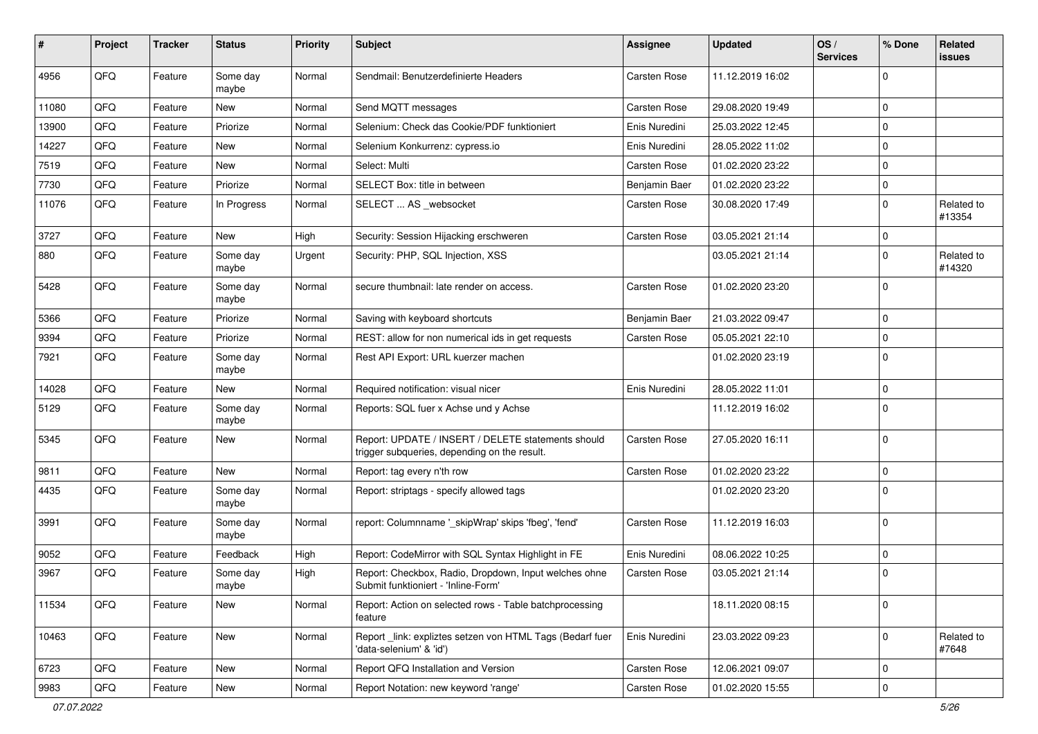| #     | <b>Project</b> | <b>Tracker</b> | <b>Status</b>     | <b>Priority</b> | <b>Subject</b>                                                                                     | <b>Assignee</b>     | <b>Updated</b>   | OS/<br><b>Services</b> | % Done         | Related<br><b>issues</b> |
|-------|----------------|----------------|-------------------|-----------------|----------------------------------------------------------------------------------------------------|---------------------|------------------|------------------------|----------------|--------------------------|
| 4956  | QFQ            | Feature        | Some day<br>maybe | Normal          | Sendmail: Benutzerdefinierte Headers                                                               | <b>Carsten Rose</b> | 11.12.2019 16:02 |                        | $\Omega$       |                          |
| 11080 | QFQ            | Feature        | New               | Normal          | Send MQTT messages                                                                                 | Carsten Rose        | 29.08.2020 19:49 |                        | $\mathbf 0$    |                          |
| 13900 | QFQ            | Feature        | Priorize          | Normal          | Selenium: Check das Cookie/PDF funktioniert                                                        | Enis Nuredini       | 25.03.2022 12:45 |                        | $\mathbf 0$    |                          |
| 14227 | QFQ            | Feature        | New               | Normal          | Selenium Konkurrenz: cypress.io                                                                    | Enis Nuredini       | 28.05.2022 11:02 |                        | $\mathbf 0$    |                          |
| 7519  | QFQ            | Feature        | New               | Normal          | Select: Multi                                                                                      | Carsten Rose        | 01.02.2020 23:22 |                        | $\Omega$       |                          |
| 7730  | QFQ            | Feature        | Priorize          | Normal          | SELECT Box: title in between                                                                       | Benjamin Baer       | 01.02.2020 23:22 |                        | 0              |                          |
| 11076 | QFQ            | Feature        | In Progress       | Normal          | SELECT  AS _websocket                                                                              | Carsten Rose        | 30.08.2020 17:49 |                        | $\Omega$       | Related to<br>#13354     |
| 3727  | QFQ            | Feature        | <b>New</b>        | High            | Security: Session Hijacking erschweren                                                             | Carsten Rose        | 03.05.2021 21:14 |                        | $\mathbf 0$    |                          |
| 880   | QFQ            | Feature        | Some day<br>maybe | Urgent          | Security: PHP, SQL Injection, XSS                                                                  |                     | 03.05.2021 21:14 |                        | $\mathbf 0$    | Related to<br>#14320     |
| 5428  | QFQ            | Feature        | Some day<br>maybe | Normal          | secure thumbnail: late render on access.                                                           | Carsten Rose        | 01.02.2020 23:20 |                        | $\mathbf 0$    |                          |
| 5366  | QFQ            | Feature        | Priorize          | Normal          | Saving with keyboard shortcuts                                                                     | Benjamin Baer       | 21.03.2022 09:47 |                        | $\mathbf 0$    |                          |
| 9394  | QFQ            | Feature        | Priorize          | Normal          | REST: allow for non numerical ids in get requests                                                  | Carsten Rose        | 05.05.2021 22:10 |                        | $\mathbf 0$    |                          |
| 7921  | QFQ            | Feature        | Some day<br>maybe | Normal          | Rest API Export: URL kuerzer machen                                                                |                     | 01.02.2020 23:19 |                        | $\overline{0}$ |                          |
| 14028 | QFQ            | Feature        | New               | Normal          | Required notification: visual nicer                                                                | Enis Nuredini       | 28.05.2022 11:01 |                        | $\mathbf 0$    |                          |
| 5129  | QFQ            | Feature        | Some day<br>maybe | Normal          | Reports: SQL fuer x Achse und y Achse                                                              |                     | 11.12.2019 16:02 |                        | $\Omega$       |                          |
| 5345  | QFQ            | Feature        | New               | Normal          | Report: UPDATE / INSERT / DELETE statements should<br>trigger subqueries, depending on the result. | Carsten Rose        | 27.05.2020 16:11 |                        | $\mathbf 0$    |                          |
| 9811  | QFQ            | Feature        | New               | Normal          | Report: tag every n'th row                                                                         | Carsten Rose        | 01.02.2020 23:22 |                        | $\mathbf 0$    |                          |
| 4435  | QFQ            | Feature        | Some day<br>maybe | Normal          | Report: striptags - specify allowed tags                                                           |                     | 01.02.2020 23:20 |                        | $\overline{0}$ |                          |
| 3991  | QFQ            | Feature        | Some day<br>maybe | Normal          | report: Columnname ' skipWrap' skips 'fbeg', 'fend'                                                | Carsten Rose        | 11.12.2019 16:03 |                        | $\Omega$       |                          |
| 9052  | QFQ            | Feature        | Feedback          | High            | Report: CodeMirror with SQL Syntax Highlight in FE                                                 | Enis Nuredini       | 08.06.2022 10:25 |                        | 0              |                          |
| 3967  | QFQ            | Feature        | Some day<br>maybe | High            | Report: Checkbox, Radio, Dropdown, Input welches ohne<br>Submit funktioniert - 'Inline-Form'       | Carsten Rose        | 03.05.2021 21:14 |                        | $\overline{0}$ |                          |
| 11534 | QFQ            | Feature        | New               | Normal          | Report: Action on selected rows - Table batchprocessing<br>feature                                 |                     | 18.11.2020 08:15 |                        | $\overline{0}$ |                          |
| 10463 | QFQ            | Feature        | New               | Normal          | Report _link: expliztes setzen von HTML Tags (Bedarf fuer<br>'data-selenium' & 'id')               | Enis Nuredini       | 23.03.2022 09:23 |                        | $\overline{0}$ | Related to<br>#7648      |
| 6723  | QFQ            | Feature        | New               | Normal          | Report QFQ Installation and Version                                                                | Carsten Rose        | 12.06.2021 09:07 |                        | $\overline{0}$ |                          |
| 9983  | QFQ            | Feature        | New               | Normal          | Report Notation: new keyword 'range'                                                               | Carsten Rose        | 01.02.2020 15:55 |                        | $\mathbf 0$    |                          |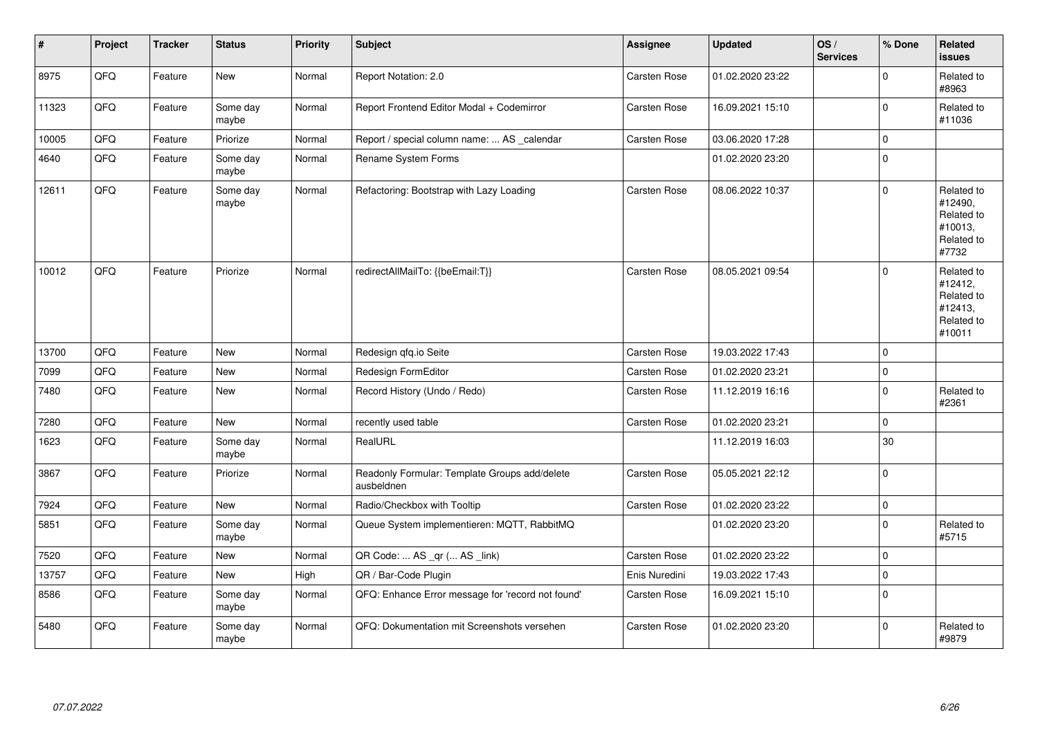| $\sharp$ | Project | <b>Tracker</b> | <b>Status</b>     | <b>Priority</b> | <b>Subject</b>                                              | Assignee            | <b>Updated</b>   | OS/<br><b>Services</b> | % Done         | Related<br><b>issues</b>                                               |
|----------|---------|----------------|-------------------|-----------------|-------------------------------------------------------------|---------------------|------------------|------------------------|----------------|------------------------------------------------------------------------|
| 8975     | QFQ     | Feature        | New               | Normal          | Report Notation: 2.0                                        | Carsten Rose        | 01.02.2020 23:22 |                        | 0              | Related to<br>#8963                                                    |
| 11323    | QFQ     | Feature        | Some day<br>maybe | Normal          | Report Frontend Editor Modal + Codemirror                   | <b>Carsten Rose</b> | 16.09.2021 15:10 |                        | $\Omega$       | Related to<br>#11036                                                   |
| 10005    | QFQ     | Feature        | Priorize          | Normal          | Report / special column name:  AS _calendar                 | Carsten Rose        | 03.06.2020 17:28 |                        | $\mathbf 0$    |                                                                        |
| 4640     | QFQ     | Feature        | Some day<br>maybe | Normal          | Rename System Forms                                         |                     | 01.02.2020 23:20 |                        | $\mathbf 0$    |                                                                        |
| 12611    | QFQ     | Feature        | Some day<br>maybe | Normal          | Refactoring: Bootstrap with Lazy Loading                    | Carsten Rose        | 08.06.2022 10:37 |                        | 0              | Related to<br>#12490,<br>Related to<br>#10013,<br>Related to<br>#7732  |
| 10012    | QFQ     | Feature        | Priorize          | Normal          | redirectAllMailTo: {{beEmail:T}}                            | Carsten Rose        | 08.05.2021 09:54 |                        | $\overline{0}$ | Related to<br>#12412,<br>Related to<br>#12413,<br>Related to<br>#10011 |
| 13700    | QFQ     | Feature        | <b>New</b>        | Normal          | Redesign qfq.io Seite                                       | Carsten Rose        | 19.03.2022 17:43 |                        | $\mathbf 0$    |                                                                        |
| 7099     | QFQ     | Feature        | New               | Normal          | Redesign FormEditor                                         | <b>Carsten Rose</b> | 01.02.2020 23:21 |                        | 0              |                                                                        |
| 7480     | QFQ     | Feature        | New               | Normal          | Record History (Undo / Redo)                                | Carsten Rose        | 11.12.2019 16:16 |                        | $\mathbf 0$    | Related to<br>#2361                                                    |
| 7280     | QFQ     | Feature        | <b>New</b>        | Normal          | recently used table                                         | Carsten Rose        | 01.02.2020 23:21 |                        | $\Omega$       |                                                                        |
| 1623     | QFQ     | Feature        | Some day<br>maybe | Normal          | RealURL                                                     |                     | 11.12.2019 16:03 |                        | 30             |                                                                        |
| 3867     | QFQ     | Feature        | Priorize          | Normal          | Readonly Formular: Template Groups add/delete<br>ausbeldnen | Carsten Rose        | 05.05.2021 22:12 |                        | $\Omega$       |                                                                        |
| 7924     | QFQ     | Feature        | New               | Normal          | Radio/Checkbox with Tooltip                                 | Carsten Rose        | 01.02.2020 23:22 |                        | 0              |                                                                        |
| 5851     | QFQ     | Feature        | Some day<br>maybe | Normal          | Queue System implementieren: MQTT, RabbitMQ                 |                     | 01.02.2020 23:20 |                        | $\overline{0}$ | Related to<br>#5715                                                    |
| 7520     | QFQ     | Feature        | New               | Normal          | QR Code:  AS _qr ( AS _link)                                | Carsten Rose        | 01.02.2020 23:22 |                        | $\mathbf 0$    |                                                                        |
| 13757    | QFQ     | Feature        | New               | High            | QR / Bar-Code Plugin                                        | Enis Nuredini       | 19.03.2022 17:43 |                        | $\mathbf 0$    |                                                                        |
| 8586     | QFQ     | Feature        | Some day<br>maybe | Normal          | QFQ: Enhance Error message for 'record not found'           | Carsten Rose        | 16.09.2021 15:10 |                        | $\Omega$       |                                                                        |
| 5480     | QFQ     | Feature        | Some day<br>maybe | Normal          | QFQ: Dokumentation mit Screenshots versehen                 | Carsten Rose        | 01.02.2020 23:20 |                        | 0              | Related to<br>#9879                                                    |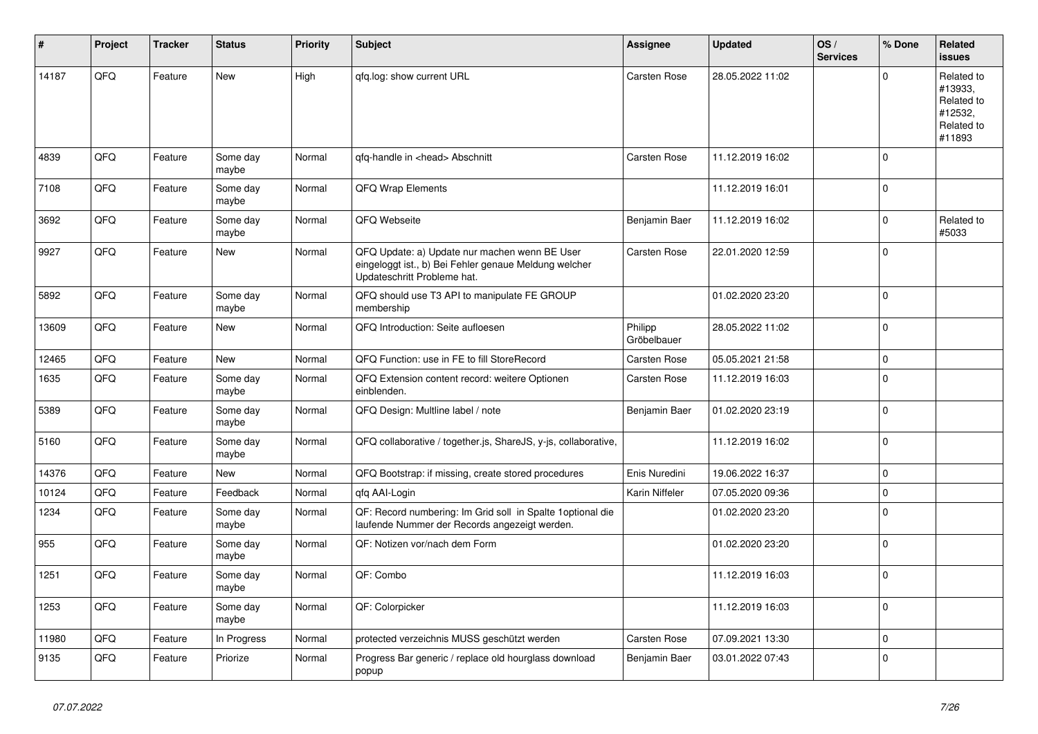| ∦     | Project | <b>Tracker</b> | <b>Status</b>     | <b>Priority</b> | <b>Subject</b>                                                                                                                        | <b>Assignee</b>        | <b>Updated</b>   | OS/<br><b>Services</b> | % Done      | Related<br>issues                                                      |
|-------|---------|----------------|-------------------|-----------------|---------------------------------------------------------------------------------------------------------------------------------------|------------------------|------------------|------------------------|-------------|------------------------------------------------------------------------|
| 14187 | QFQ     | Feature        | New               | High            | qfq.log: show current URL                                                                                                             | Carsten Rose           | 28.05.2022 11:02 |                        | $\Omega$    | Related to<br>#13933,<br>Related to<br>#12532,<br>Related to<br>#11893 |
| 4839  | QFQ     | Feature        | Some day<br>maybe | Normal          | qfq-handle in <head> Abschnitt</head>                                                                                                 | <b>Carsten Rose</b>    | 11.12.2019 16:02 |                        | $\Omega$    |                                                                        |
| 7108  | QFQ     | Feature        | Some day<br>maybe | Normal          | <b>QFQ Wrap Elements</b>                                                                                                              |                        | 11.12.2019 16:01 |                        | $\mathbf 0$ |                                                                        |
| 3692  | QFQ     | Feature        | Some day<br>maybe | Normal          | QFQ Webseite                                                                                                                          | Benjamin Baer          | 11.12.2019 16:02 |                        | $\Omega$    | Related to<br>#5033                                                    |
| 9927  | QFQ     | Feature        | New               | Normal          | QFQ Update: a) Update nur machen wenn BE User<br>eingeloggt ist., b) Bei Fehler genaue Meldung welcher<br>Updateschritt Probleme hat. | Carsten Rose           | 22.01.2020 12:59 |                        | $\Omega$    |                                                                        |
| 5892  | QFQ     | Feature        | Some day<br>maybe | Normal          | QFQ should use T3 API to manipulate FE GROUP<br>membership                                                                            |                        | 01.02.2020 23:20 |                        | $\Omega$    |                                                                        |
| 13609 | QFQ     | Feature        | New               | Normal          | QFQ Introduction: Seite aufloesen                                                                                                     | Philipp<br>Gröbelbauer | 28.05.2022 11:02 |                        | $\Omega$    |                                                                        |
| 12465 | QFQ     | Feature        | New               | Normal          | QFQ Function: use in FE to fill StoreRecord                                                                                           | Carsten Rose           | 05.05.2021 21:58 |                        | $\Omega$    |                                                                        |
| 1635  | QFQ     | Feature        | Some day<br>maybe | Normal          | QFQ Extension content record: weitere Optionen<br>einblenden.                                                                         | Carsten Rose           | 11.12.2019 16:03 |                        | $\Omega$    |                                                                        |
| 5389  | QFQ     | Feature        | Some day<br>maybe | Normal          | QFQ Design: Multline label / note                                                                                                     | Benjamin Baer          | 01.02.2020 23:19 |                        | $\Omega$    |                                                                        |
| 5160  | QFQ     | Feature        | Some day<br>maybe | Normal          | QFQ collaborative / together.js, ShareJS, y-js, collaborative,                                                                        |                        | 11.12.2019 16:02 |                        | $\Omega$    |                                                                        |
| 14376 | QFQ     | Feature        | New               | Normal          | QFQ Bootstrap: if missing, create stored procedures                                                                                   | Enis Nuredini          | 19.06.2022 16:37 |                        | $\Omega$    |                                                                        |
| 10124 | QFQ     | Feature        | Feedback          | Normal          | qfq AAI-Login                                                                                                                         | Karin Niffeler         | 07.05.2020 09:36 |                        | $\Omega$    |                                                                        |
| 1234  | QFQ     | Feature        | Some day<br>maybe | Normal          | QF: Record numbering: Im Grid soll in Spalte 1 optional die<br>laufende Nummer der Records angezeigt werden.                          |                        | 01.02.2020 23:20 |                        | $\Omega$    |                                                                        |
| 955   | QFQ     | Feature        | Some day<br>maybe | Normal          | QF: Notizen vor/nach dem Form                                                                                                         |                        | 01.02.2020 23:20 |                        | $\Omega$    |                                                                        |
| 1251  | QFQ     | Feature        | Some day<br>maybe | Normal          | QF: Combo                                                                                                                             |                        | 11.12.2019 16:03 |                        | $\Omega$    |                                                                        |
| 1253  | QFG     | Feature        | Some day<br>maybe | Normal          | QF: Colorpicker                                                                                                                       |                        | 11.12.2019 16:03 |                        | 0           |                                                                        |
| 11980 | QFG     | Feature        | In Progress       | Normal          | protected verzeichnis MUSS geschützt werden                                                                                           | Carsten Rose           | 07.09.2021 13:30 |                        | $\pmb{0}$   |                                                                        |
| 9135  | QFQ     | Feature        | Priorize          | Normal          | Progress Bar generic / replace old hourglass download<br>popup                                                                        | Benjamin Baer          | 03.01.2022 07:43 |                        | $\mathbf 0$ |                                                                        |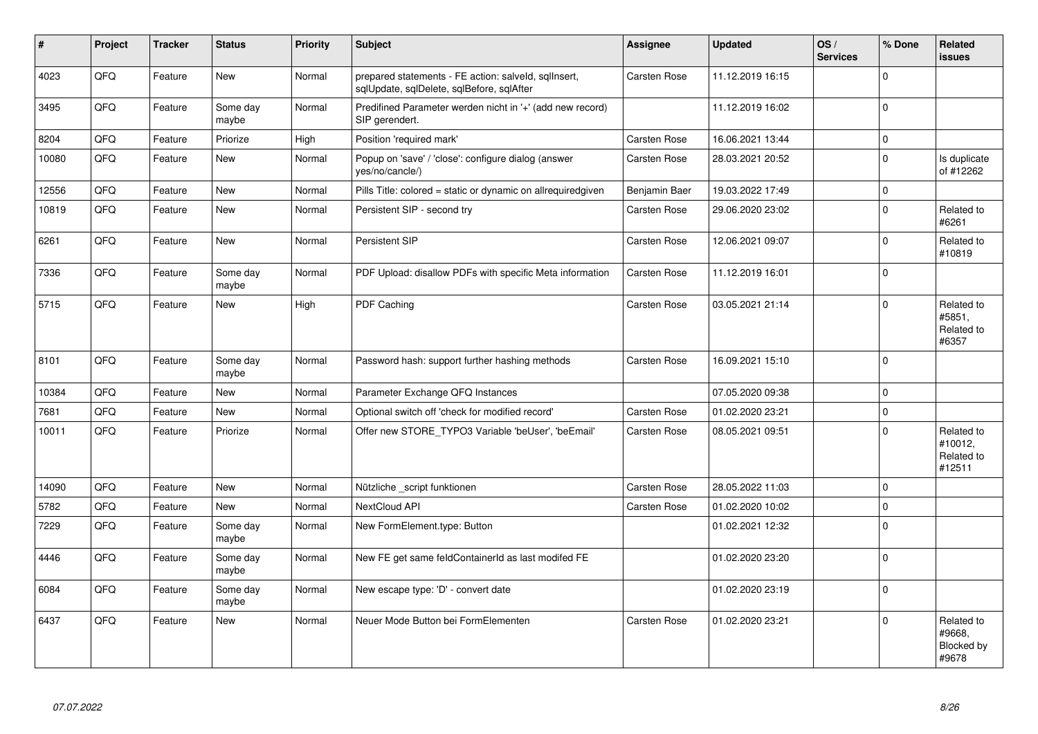| $\vert$ # | Project | <b>Tracker</b> | <b>Status</b>     | <b>Priority</b> | <b>Subject</b>                                                                                    | <b>Assignee</b>     | <b>Updated</b>   | OS/<br><b>Services</b> | % Done      | Related<br><b>issues</b>                      |
|-----------|---------|----------------|-------------------|-----------------|---------------------------------------------------------------------------------------------------|---------------------|------------------|------------------------|-------------|-----------------------------------------------|
| 4023      | QFQ     | Feature        | New               | Normal          | prepared statements - FE action: salveld, sqlInsert,<br>sqlUpdate, sqlDelete, sqlBefore, sqlAfter | Carsten Rose        | 11.12.2019 16:15 |                        | $\Omega$    |                                               |
| 3495      | QFQ     | Feature        | Some day<br>maybe | Normal          | Predifined Parameter werden nicht in '+' (add new record)<br>SIP gerendert.                       |                     | 11.12.2019 16:02 |                        | $\pmb{0}$   |                                               |
| 8204      | QFQ     | Feature        | Priorize          | High            | Position 'required mark'                                                                          | Carsten Rose        | 16.06.2021 13:44 |                        | $\pmb{0}$   |                                               |
| 10080     | QFQ     | Feature        | New               | Normal          | Popup on 'save' / 'close': configure dialog (answer<br>yes/no/cancle/)                            | <b>Carsten Rose</b> | 28.03.2021 20:52 |                        | $\pmb{0}$   | Is duplicate<br>of #12262                     |
| 12556     | QFQ     | Feature        | <b>New</b>        | Normal          | Pills Title: colored = static or dynamic on allrequiredgiven                                      | Benjamin Baer       | 19.03.2022 17:49 |                        | $\pmb{0}$   |                                               |
| 10819     | QFQ     | Feature        | New               | Normal          | Persistent SIP - second try                                                                       | Carsten Rose        | 29.06.2020 23:02 |                        | $\pmb{0}$   | Related to<br>#6261                           |
| 6261      | QFQ     | Feature        | New               | Normal          | Persistent SIP                                                                                    | Carsten Rose        | 12.06.2021 09:07 |                        | $\mathbf 0$ | Related to<br>#10819                          |
| 7336      | QFQ     | Feature        | Some day<br>maybe | Normal          | PDF Upload: disallow PDFs with specific Meta information                                          | <b>Carsten Rose</b> | 11.12.2019 16:01 |                        | $\pmb{0}$   |                                               |
| 5715      | QFQ     | Feature        | New               | High            | PDF Caching                                                                                       | Carsten Rose        | 03.05.2021 21:14 |                        | $\mathbf 0$ | Related to<br>#5851,<br>Related to<br>#6357   |
| 8101      | QFQ     | Feature        | Some day<br>maybe | Normal          | Password hash: support further hashing methods                                                    | <b>Carsten Rose</b> | 16.09.2021 15:10 |                        | $\mathbf 0$ |                                               |
| 10384     | QFQ     | Feature        | New               | Normal          | Parameter Exchange QFQ Instances                                                                  |                     | 07.05.2020 09:38 |                        | $\mathbf 0$ |                                               |
| 7681      | QFQ     | Feature        | <b>New</b>        | Normal          | Optional switch off 'check for modified record'                                                   | <b>Carsten Rose</b> | 01.02.2020 23:21 |                        | $\mathbf 0$ |                                               |
| 10011     | QFQ     | Feature        | Priorize          | Normal          | Offer new STORE_TYPO3 Variable 'beUser', 'beEmail'                                                | Carsten Rose        | 08.05.2021 09:51 |                        | $\mathbf 0$ | Related to<br>#10012,<br>Related to<br>#12511 |
| 14090     | QFQ     | Feature        | <b>New</b>        | Normal          | Nützliche _script funktionen                                                                      | Carsten Rose        | 28.05.2022 11:03 |                        | $\mathbf 0$ |                                               |
| 5782      | QFQ     | Feature        | New               | Normal          | NextCloud API                                                                                     | <b>Carsten Rose</b> | 01.02.2020 10:02 |                        | $\pmb{0}$   |                                               |
| 7229      | QFQ     | Feature        | Some day<br>maybe | Normal          | New FormElement.type: Button                                                                      |                     | 01.02.2021 12:32 |                        | $\pmb{0}$   |                                               |
| 4446      | QFQ     | Feature        | Some day<br>maybe | Normal          | New FE get same feldContainerId as last modifed FE                                                |                     | 01.02.2020 23:20 |                        | $\pmb{0}$   |                                               |
| 6084      | QFQ     | Feature        | Some day<br>maybe | Normal          | New escape type: 'D' - convert date                                                               |                     | 01.02.2020 23:19 |                        | $\pmb{0}$   |                                               |
| 6437      | QFQ     | Feature        | New               | Normal          | Neuer Mode Button bei FormElementen                                                               | <b>Carsten Rose</b> | 01.02.2020 23:21 |                        | $\mathbf 0$ | Related to<br>#9668,<br>Blocked by<br>#9678   |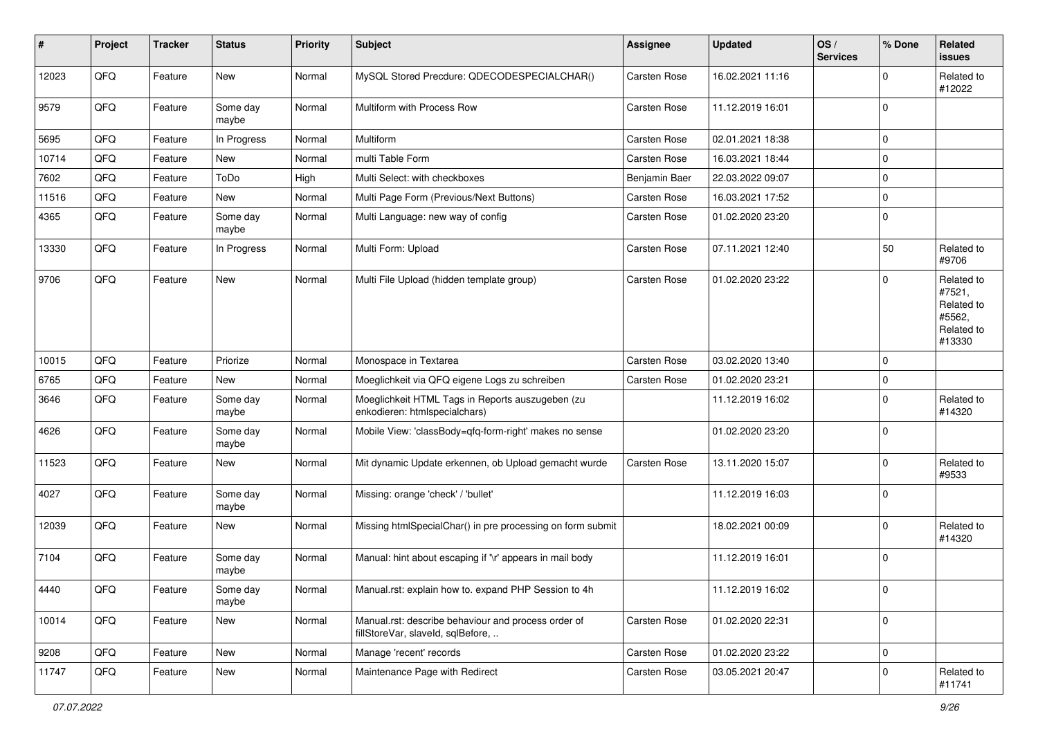| #     | Project | <b>Tracker</b> | <b>Status</b>     | <b>Priority</b> | <b>Subject</b>                                                                           | <b>Assignee</b>     | <b>Updated</b>   | OS/<br><b>Services</b> | % Done      | Related<br>issues                                                    |
|-------|---------|----------------|-------------------|-----------------|------------------------------------------------------------------------------------------|---------------------|------------------|------------------------|-------------|----------------------------------------------------------------------|
| 12023 | QFQ     | Feature        | New               | Normal          | MySQL Stored Precdure: QDECODESPECIALCHAR()                                              | Carsten Rose        | 16.02.2021 11:16 |                        | $\Omega$    | Related to<br>#12022                                                 |
| 9579  | QFQ     | Feature        | Some day<br>maybe | Normal          | Multiform with Process Row                                                               | Carsten Rose        | 11.12.2019 16:01 |                        | $\Omega$    |                                                                      |
| 5695  | QFQ     | Feature        | In Progress       | Normal          | Multiform                                                                                | Carsten Rose        | 02.01.2021 18:38 |                        | $\Omega$    |                                                                      |
| 10714 | QFQ     | Feature        | <b>New</b>        | Normal          | multi Table Form                                                                         | Carsten Rose        | 16.03.2021 18:44 |                        | $\Omega$    |                                                                      |
| 7602  | QFQ     | Feature        | ToDo              | High            | Multi Select: with checkboxes                                                            | Benjamin Baer       | 22.03.2022 09:07 |                        | $\mathbf 0$ |                                                                      |
| 11516 | QFQ     | Feature        | <b>New</b>        | Normal          | Multi Page Form (Previous/Next Buttons)                                                  | Carsten Rose        | 16.03.2021 17:52 |                        | $\Omega$    |                                                                      |
| 4365  | QFQ     | Feature        | Some day<br>maybe | Normal          | Multi Language: new way of config                                                        | Carsten Rose        | 01.02.2020 23:20 |                        | $\Omega$    |                                                                      |
| 13330 | QFQ     | Feature        | In Progress       | Normal          | Multi Form: Upload                                                                       | Carsten Rose        | 07.11.2021 12:40 |                        | 50          | Related to<br>#9706                                                  |
| 9706  | QFQ     | Feature        | <b>New</b>        | Normal          | Multi File Upload (hidden template group)                                                | Carsten Rose        | 01.02.2020 23:22 |                        | $\Omega$    | Related to<br>#7521,<br>Related to<br>#5562,<br>Related to<br>#13330 |
| 10015 | QFQ     | Feature        | Priorize          | Normal          | Monospace in Textarea                                                                    | <b>Carsten Rose</b> | 03.02.2020 13:40 |                        | $\Omega$    |                                                                      |
| 6765  | QFQ     | Feature        | <b>New</b>        | Normal          | Moeglichkeit via QFQ eigene Logs zu schreiben                                            | Carsten Rose        | 01.02.2020 23:21 |                        | $\mathbf 0$ |                                                                      |
| 3646  | QFQ     | Feature        | Some day<br>maybe | Normal          | Moeglichkeit HTML Tags in Reports auszugeben (zu<br>enkodieren: htmlspecialchars)        |                     | 11.12.2019 16:02 |                        | 0           | Related to<br>#14320                                                 |
| 4626  | QFQ     | Feature        | Some day<br>maybe | Normal          | Mobile View: 'classBody=qfq-form-right' makes no sense                                   |                     | 01.02.2020 23:20 |                        | $\Omega$    |                                                                      |
| 11523 | QFQ     | Feature        | <b>New</b>        | Normal          | Mit dynamic Update erkennen, ob Upload gemacht wurde                                     | <b>Carsten Rose</b> | 13.11.2020 15:07 |                        | $\Omega$    | Related to<br>#9533                                                  |
| 4027  | QFQ     | Feature        | Some day<br>maybe | Normal          | Missing: orange 'check' / 'bullet'                                                       |                     | 11.12.2019 16:03 |                        | $\Omega$    |                                                                      |
| 12039 | QFQ     | Feature        | New               | Normal          | Missing htmlSpecialChar() in pre processing on form submit                               |                     | 18.02.2021 00:09 |                        | $\Omega$    | Related to<br>#14320                                                 |
| 7104  | QFQ     | Feature        | Some day<br>maybe | Normal          | Manual: hint about escaping if '\r' appears in mail body                                 |                     | 11.12.2019 16:01 |                        | $\Omega$    |                                                                      |
| 4440  | QFQ     | Feature        | Some day<br>maybe | Normal          | Manual.rst: explain how to. expand PHP Session to 4h                                     |                     | 11.12.2019 16:02 |                        | $\mathbf 0$ |                                                                      |
| 10014 | QFQ     | Feature        | New               | Normal          | Manual.rst: describe behaviour and process order of<br>fillStoreVar, slaveId, sqlBefore, | Carsten Rose        | 01.02.2020 22:31 |                        | 0           |                                                                      |
| 9208  | QFQ     | Feature        | New               | Normal          | Manage 'recent' records                                                                  | Carsten Rose        | 01.02.2020 23:22 |                        | 0           |                                                                      |
| 11747 | QFQ     | Feature        | New               | Normal          | Maintenance Page with Redirect                                                           | Carsten Rose        | 03.05.2021 20:47 |                        | 0           | Related to<br>#11741                                                 |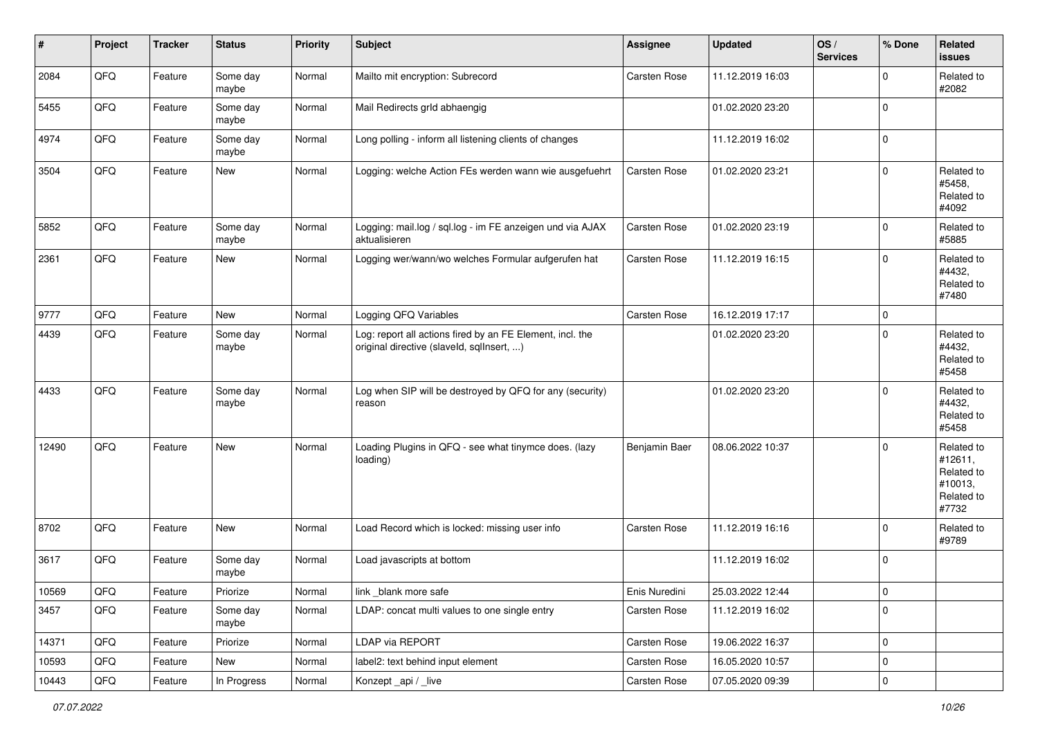| #     | Project | <b>Tracker</b> | <b>Status</b>     | <b>Priority</b> | <b>Subject</b>                                                                                         | Assignee      | <b>Updated</b>   | OS/<br><b>Services</b> | % Done      | <b>Related</b><br>issues                                              |
|-------|---------|----------------|-------------------|-----------------|--------------------------------------------------------------------------------------------------------|---------------|------------------|------------------------|-------------|-----------------------------------------------------------------------|
| 2084  | QFQ     | Feature        | Some day<br>maybe | Normal          | Mailto mit encryption: Subrecord                                                                       | Carsten Rose  | 11.12.2019 16:03 |                        | $\mathbf 0$ | Related to<br>#2082                                                   |
| 5455  | QFQ     | Feature        | Some day<br>maybe | Normal          | Mail Redirects grld abhaengig                                                                          |               | 01.02.2020 23:20 |                        | $\mathbf 0$ |                                                                       |
| 4974  | QFQ     | Feature        | Some day<br>maybe | Normal          | Long polling - inform all listening clients of changes                                                 |               | 11.12.2019 16:02 |                        | $\mathbf 0$ |                                                                       |
| 3504  | QFQ     | Feature        | New               | Normal          | Logging: welche Action FEs werden wann wie ausgefuehrt                                                 | Carsten Rose  | 01.02.2020 23:21 |                        | $\mathbf 0$ | Related to<br>#5458,<br>Related to<br>#4092                           |
| 5852  | QFQ     | Feature        | Some day<br>maybe | Normal          | Logging: mail.log / sql.log - im FE anzeigen und via AJAX<br>aktualisieren                             | Carsten Rose  | 01.02.2020 23:19 |                        | $\mathbf 0$ | Related to<br>#5885                                                   |
| 2361  | QFQ     | Feature        | New               | Normal          | Logging wer/wann/wo welches Formular aufgerufen hat                                                    | Carsten Rose  | 11.12.2019 16:15 |                        | $\mathbf 0$ | Related to<br>#4432,<br>Related to<br>#7480                           |
| 9777  | QFQ     | Feature        | New               | Normal          | Logging QFQ Variables                                                                                  | Carsten Rose  | 16.12.2019 17:17 |                        | $\mathbf 0$ |                                                                       |
| 4439  | QFQ     | Feature        | Some day<br>maybe | Normal          | Log: report all actions fired by an FE Element, incl. the<br>original directive (slaveld, sqlInsert, ) |               | 01.02.2020 23:20 |                        | $\Omega$    | Related to<br>#4432,<br>Related to<br>#5458                           |
| 4433  | QFQ     | Feature        | Some day<br>maybe | Normal          | Log when SIP will be destroyed by QFQ for any (security)<br>reason                                     |               | 01.02.2020 23:20 |                        | $\mathbf 0$ | Related to<br>#4432,<br>Related to<br>#5458                           |
| 12490 | QFQ     | Feature        | <b>New</b>        | Normal          | Loading Plugins in QFQ - see what tinymce does. (lazy<br>loading)                                      | Benjamin Baer | 08.06.2022 10:37 |                        | $\Omega$    | Related to<br>#12611,<br>Related to<br>#10013,<br>Related to<br>#7732 |
| 8702  | QFQ     | Feature        | New               | Normal          | Load Record which is locked: missing user info                                                         | Carsten Rose  | 11.12.2019 16:16 |                        | $\mathbf 0$ | Related to<br>#9789                                                   |
| 3617  | QFQ     | Feature        | Some day<br>maybe | Normal          | Load javascripts at bottom                                                                             |               | 11.12.2019 16:02 |                        | $\mathbf 0$ |                                                                       |
| 10569 | QFQ     | Feature        | Priorize          | Normal          | link_blank more safe                                                                                   | Enis Nuredini | 25.03.2022 12:44 |                        | 0           |                                                                       |
| 3457  | QFQ     | Feature        | Some day<br>maybe | Normal          | LDAP: concat multi values to one single entry                                                          | Carsten Rose  | 11.12.2019 16:02 |                        | 0           |                                                                       |
| 14371 | QFQ     | Feature        | Priorize          | Normal          | LDAP via REPORT                                                                                        | Carsten Rose  | 19.06.2022 16:37 |                        | 0           |                                                                       |
| 10593 | QFQ     | Feature        | New               | Normal          | label2: text behind input element                                                                      | Carsten Rose  | 16.05.2020 10:57 |                        | 0           |                                                                       |
| 10443 | QFQ     | Feature        | In Progress       | Normal          | Konzept_api / _live                                                                                    | Carsten Rose  | 07.05.2020 09:39 |                        | $\mathbf 0$ |                                                                       |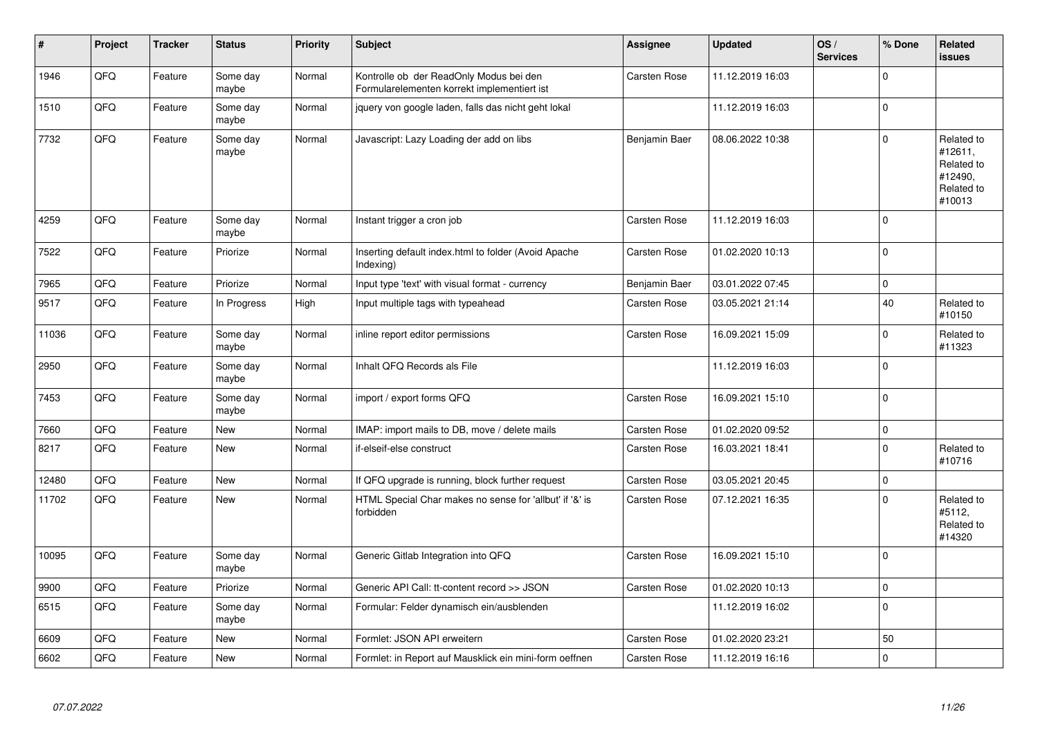| $\sharp$ | Project | <b>Tracker</b> | <b>Status</b>     | <b>Priority</b> | <b>Subject</b>                                                                         | <b>Assignee</b>     | <b>Updated</b>   | OS/<br><b>Services</b> | % Done       | <b>Related</b><br>issues                                               |
|----------|---------|----------------|-------------------|-----------------|----------------------------------------------------------------------------------------|---------------------|------------------|------------------------|--------------|------------------------------------------------------------------------|
| 1946     | QFQ     | Feature        | Some day<br>maybe | Normal          | Kontrolle ob der ReadOnly Modus bei den<br>Formularelementen korrekt implementiert ist | Carsten Rose        | 11.12.2019 16:03 |                        | $\mathbf 0$  |                                                                        |
| 1510     | QFQ     | Feature        | Some day<br>maybe | Normal          | jquery von google laden, falls das nicht geht lokal                                    |                     | 11.12.2019 16:03 |                        | $\pmb{0}$    |                                                                        |
| 7732     | QFQ     | Feature        | Some day<br>maybe | Normal          | Javascript: Lazy Loading der add on libs                                               | Benjamin Baer       | 08.06.2022 10:38 |                        | $\pmb{0}$    | Related to<br>#12611,<br>Related to<br>#12490,<br>Related to<br>#10013 |
| 4259     | QFQ     | Feature        | Some day<br>maybe | Normal          | Instant trigger a cron job                                                             | <b>Carsten Rose</b> | 11.12.2019 16:03 |                        | $\pmb{0}$    |                                                                        |
| 7522     | QFQ     | Feature        | Priorize          | Normal          | Inserting default index.html to folder (Avoid Apache<br>Indexing)                      | Carsten Rose        | 01.02.2020 10:13 |                        | $\pmb{0}$    |                                                                        |
| 7965     | QFQ     | Feature        | Priorize          | Normal          | Input type 'text' with visual format - currency                                        | Benjamin Baer       | 03.01.2022 07:45 |                        | $\mathbf 0$  |                                                                        |
| 9517     | QFQ     | Feature        | In Progress       | High            | Input multiple tags with typeahead                                                     | <b>Carsten Rose</b> | 03.05.2021 21:14 |                        | 40           | Related to<br>#10150                                                   |
| 11036    | QFQ     | Feature        | Some day<br>maybe | Normal          | inline report editor permissions                                                       | Carsten Rose        | 16.09.2021 15:09 |                        | $\mathbf 0$  | Related to<br>#11323                                                   |
| 2950     | QFQ     | Feature        | Some day<br>maybe | Normal          | Inhalt QFQ Records als File                                                            |                     | 11.12.2019 16:03 |                        | $\mathbf 0$  |                                                                        |
| 7453     | QFQ     | Feature        | Some day<br>maybe | Normal          | import / export forms QFQ                                                              | Carsten Rose        | 16.09.2021 15:10 |                        | $\mathbf{0}$ |                                                                        |
| 7660     | QFQ     | Feature        | <b>New</b>        | Normal          | IMAP: import mails to DB, move / delete mails                                          | <b>Carsten Rose</b> | 01.02.2020 09:52 |                        | $\pmb{0}$    |                                                                        |
| 8217     | QFQ     | Feature        | New               | Normal          | if-elseif-else construct                                                               | <b>Carsten Rose</b> | 16.03.2021 18:41 |                        | $\pmb{0}$    | Related to<br>#10716                                                   |
| 12480    | QFQ     | Feature        | <b>New</b>        | Normal          | If QFQ upgrade is running, block further request                                       | <b>Carsten Rose</b> | 03.05.2021 20:45 |                        | $\mathbf 0$  |                                                                        |
| 11702    | QFQ     | Feature        | <b>New</b>        | Normal          | HTML Special Char makes no sense for 'allbut' if '&' is<br>forbidden                   | Carsten Rose        | 07.12.2021 16:35 |                        | $\mathbf 0$  | Related to<br>#5112,<br>Related to<br>#14320                           |
| 10095    | QFQ     | Feature        | Some day<br>maybe | Normal          | Generic Gitlab Integration into QFQ                                                    | <b>Carsten Rose</b> | 16.09.2021 15:10 |                        | $\pmb{0}$    |                                                                        |
| 9900     | QFQ     | Feature        | Priorize          | Normal          | Generic API Call: tt-content record >> JSON                                            | Carsten Rose        | 01.02.2020 10:13 |                        | $\mathbf 0$  |                                                                        |
| 6515     | QFQ     | Feature        | Some day<br>maybe | Normal          | Formular: Felder dynamisch ein/ausblenden                                              |                     | 11.12.2019 16:02 |                        | $\pmb{0}$    |                                                                        |
| 6609     | QFQ     | Feature        | <b>New</b>        | Normal          | Formlet: JSON API erweitern                                                            | <b>Carsten Rose</b> | 01.02.2020 23:21 |                        | 50           |                                                                        |
| 6602     | QFQ     | Feature        | New               | Normal          | Formlet: in Report auf Mausklick ein mini-form oeffnen                                 | <b>Carsten Rose</b> | 11.12.2019 16:16 |                        | $\pmb{0}$    |                                                                        |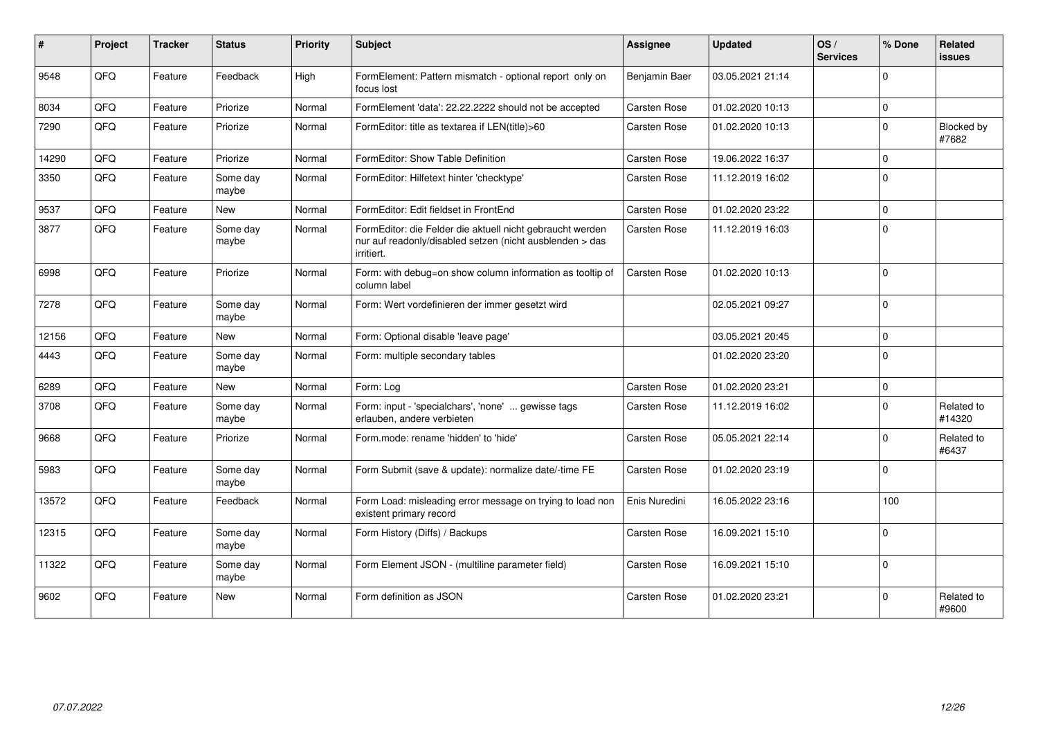| #     | Project | <b>Tracker</b> | <b>Status</b>     | Priority | Subject                                                                                                                             | <b>Assignee</b>     | <b>Updated</b>   | OS/<br><b>Services</b> | % Done         | <b>Related</b><br><b>issues</b> |
|-------|---------|----------------|-------------------|----------|-------------------------------------------------------------------------------------------------------------------------------------|---------------------|------------------|------------------------|----------------|---------------------------------|
| 9548  | QFQ     | Feature        | Feedback          | High     | FormElement: Pattern mismatch - optional report only on<br>focus lost                                                               | Benjamin Baer       | 03.05.2021 21:14 |                        | $\mathbf 0$    |                                 |
| 8034  | QFQ     | Feature        | Priorize          | Normal   | FormElement 'data': 22.22.2222 should not be accepted                                                                               | Carsten Rose        | 01.02.2020 10:13 |                        | $\pmb{0}$      |                                 |
| 7290  | QFQ     | Feature        | Priorize          | Normal   | FormEditor: title as textarea if LEN(title)>60                                                                                      | Carsten Rose        | 01.02.2020 10:13 |                        | $\mathbf 0$    | Blocked by<br>#7682             |
| 14290 | QFQ     | Feature        | Priorize          | Normal   | FormEditor: Show Table Definition                                                                                                   | Carsten Rose        | 19.06.2022 16:37 |                        | $\mathbf 0$    |                                 |
| 3350  | QFQ     | Feature        | Some day<br>maybe | Normal   | FormEditor: Hilfetext hinter 'checktype'                                                                                            | Carsten Rose        | 11.12.2019 16:02 |                        | $\mathbf 0$    |                                 |
| 9537  | QFQ     | Feature        | <b>New</b>        | Normal   | FormEditor: Edit fieldset in FrontEnd                                                                                               | Carsten Rose        | 01.02.2020 23:22 |                        | $\mathbf 0$    |                                 |
| 3877  | QFQ     | Feature        | Some day<br>maybe | Normal   | FormEditor: die Felder die aktuell nicht gebraucht werden<br>nur auf readonly/disabled setzen (nicht ausblenden > das<br>irritiert. | Carsten Rose        | 11.12.2019 16:03 |                        | $\Omega$       |                                 |
| 6998  | QFQ     | Feature        | Priorize          | Normal   | Form: with debug=on show column information as tooltip of<br>column label                                                           | Carsten Rose        | 01.02.2020 10:13 |                        | $\Omega$       |                                 |
| 7278  | QFQ     | Feature        | Some day<br>maybe | Normal   | Form: Wert vordefinieren der immer gesetzt wird                                                                                     |                     | 02.05.2021 09:27 |                        | $\Omega$       |                                 |
| 12156 | QFQ     | Feature        | New               | Normal   | Form: Optional disable 'leave page'                                                                                                 |                     | 03.05.2021 20:45 |                        | $\overline{0}$ |                                 |
| 4443  | QFQ     | Feature        | Some day<br>maybe | Normal   | Form: multiple secondary tables                                                                                                     |                     | 01.02.2020 23:20 |                        | $\Omega$       |                                 |
| 6289  | QFQ     | Feature        | New               | Normal   | Form: Log                                                                                                                           | Carsten Rose        | 01.02.2020 23:21 |                        | $\mathbf 0$    |                                 |
| 3708  | QFQ     | Feature        | Some day<br>maybe | Normal   | Form: input - 'specialchars', 'none'  gewisse tags<br>erlauben, andere verbieten                                                    | <b>Carsten Rose</b> | 11.12.2019 16:02 |                        | $\Omega$       | Related to<br>#14320            |
| 9668  | QFQ     | Feature        | Priorize          | Normal   | Form.mode: rename 'hidden' to 'hide'                                                                                                | <b>Carsten Rose</b> | 05.05.2021 22:14 |                        | $\mathbf 0$    | Related to<br>#6437             |
| 5983  | QFQ     | Feature        | Some day<br>maybe | Normal   | Form Submit (save & update): normalize date/-time FE                                                                                | Carsten Rose        | 01.02.2020 23:19 |                        | $\mathbf 0$    |                                 |
| 13572 | QFQ     | Feature        | Feedback          | Normal   | Form Load: misleading error message on trying to load non<br>existent primary record                                                | Enis Nuredini       | 16.05.2022 23:16 |                        | 100            |                                 |
| 12315 | QFQ     | Feature        | Some day<br>maybe | Normal   | Form History (Diffs) / Backups                                                                                                      | Carsten Rose        | 16.09.2021 15:10 |                        | $\overline{0}$ |                                 |
| 11322 | QFQ     | Feature        | Some day<br>maybe | Normal   | Form Element JSON - (multiline parameter field)                                                                                     | Carsten Rose        | 16.09.2021 15:10 |                        | $\overline{0}$ |                                 |
| 9602  | QFQ     | Feature        | New               | Normal   | Form definition as JSON                                                                                                             | Carsten Rose        | 01.02.2020 23:21 |                        | $\Omega$       | Related to<br>#9600             |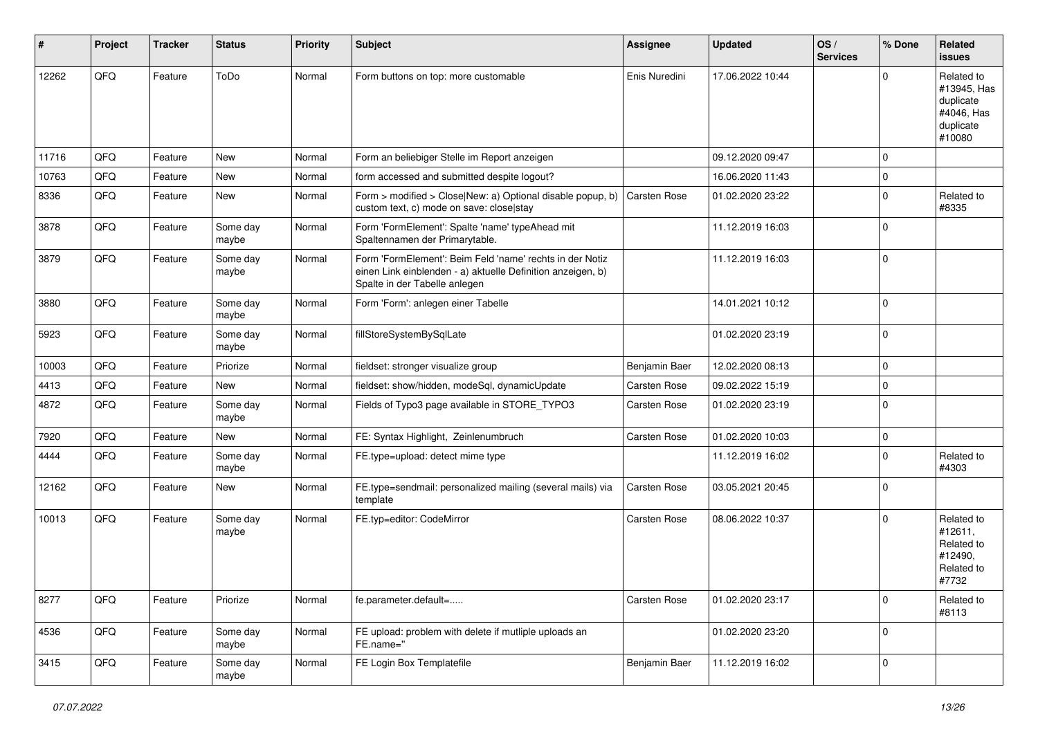| ∦     | Project | <b>Tracker</b> | <b>Status</b>     | <b>Priority</b> | <b>Subject</b>                                                                                                                                           | <b>Assignee</b>     | <b>Updated</b>   | OS/<br><b>Services</b> | % Done      | Related<br>issues                                                           |
|-------|---------|----------------|-------------------|-----------------|----------------------------------------------------------------------------------------------------------------------------------------------------------|---------------------|------------------|------------------------|-------------|-----------------------------------------------------------------------------|
| 12262 | QFQ     | Feature        | ToDo              | Normal          | Form buttons on top: more customable                                                                                                                     | Enis Nuredini       | 17.06.2022 10:44 |                        | $\mathbf 0$ | Related to<br>#13945, Has<br>duplicate<br>#4046, Has<br>duplicate<br>#10080 |
| 11716 | QFQ     | Feature        | New               | Normal          | Form an beliebiger Stelle im Report anzeigen                                                                                                             |                     | 09.12.2020 09:47 |                        | $\mathbf 0$ |                                                                             |
| 10763 | QFQ     | Feature        | New               | Normal          | form accessed and submitted despite logout?                                                                                                              |                     | 16.06.2020 11:43 |                        | $\mathbf 0$ |                                                                             |
| 8336  | QFQ     | Feature        | New               | Normal          | Form > modified > Close New: a) Optional disable popup, b)<br>custom text, c) mode on save: close stay                                                   | Carsten Rose        | 01.02.2020 23:22 |                        | $\pmb{0}$   | Related to<br>#8335                                                         |
| 3878  | QFQ     | Feature        | Some day<br>maybe | Normal          | Form 'FormElement': Spalte 'name' typeAhead mit<br>Spaltennamen der Primarytable.                                                                        |                     | 11.12.2019 16:03 |                        | 0           |                                                                             |
| 3879  | QFQ     | Feature        | Some day<br>maybe | Normal          | Form 'FormElement': Beim Feld 'name' rechts in der Notiz<br>einen Link einblenden - a) aktuelle Definition anzeigen, b)<br>Spalte in der Tabelle anlegen |                     | 11.12.2019 16:03 |                        | $\mathbf 0$ |                                                                             |
| 3880  | QFQ     | Feature        | Some day<br>maybe | Normal          | Form 'Form': anlegen einer Tabelle                                                                                                                       |                     | 14.01.2021 10:12 |                        | $\mathbf 0$ |                                                                             |
| 5923  | QFQ     | Feature        | Some day<br>maybe | Normal          | fillStoreSystemBySqlLate                                                                                                                                 |                     | 01.02.2020 23:19 |                        | $\mathbf 0$ |                                                                             |
| 10003 | QFQ     | Feature        | Priorize          | Normal          | fieldset: stronger visualize group                                                                                                                       | Benjamin Baer       | 12.02.2020 08:13 |                        | $\pmb{0}$   |                                                                             |
| 4413  | QFQ     | Feature        | New               | Normal          | fieldset: show/hidden, modeSql, dynamicUpdate                                                                                                            | Carsten Rose        | 09.02.2022 15:19 |                        | $\pmb{0}$   |                                                                             |
| 4872  | QFQ     | Feature        | Some day<br>maybe | Normal          | Fields of Typo3 page available in STORE_TYPO3                                                                                                            | Carsten Rose        | 01.02.2020 23:19 |                        | $\mathbf 0$ |                                                                             |
| 7920  | QFQ     | Feature        | New               | Normal          | FE: Syntax Highlight, Zeinlenumbruch                                                                                                                     | Carsten Rose        | 01.02.2020 10:03 |                        | $\pmb{0}$   |                                                                             |
| 4444  | QFQ     | Feature        | Some day<br>maybe | Normal          | FE.type=upload: detect mime type                                                                                                                         |                     | 11.12.2019 16:02 |                        | $\mathbf 0$ | Related to<br>#4303                                                         |
| 12162 | QFQ     | Feature        | New               | Normal          | FE.type=sendmail: personalized mailing (several mails) via<br>template                                                                                   | Carsten Rose        | 03.05.2021 20:45 |                        | $\pmb{0}$   |                                                                             |
| 10013 | QFQ     | Feature        | Some day<br>maybe | Normal          | FE.typ=editor: CodeMirror                                                                                                                                | <b>Carsten Rose</b> | 08.06.2022 10:37 |                        | $\mathbf 0$ | Related to<br>#12611.<br>Related to<br>#12490,<br>Related to<br>#7732       |
| 8277  | QFO     | Feature        | Priorize          | Normal          | fe.parameter.default=                                                                                                                                    | Carsten Rose        | 01.02.2020 23:17 |                        | $\pmb{0}$   | Related to<br>#8113                                                         |
| 4536  | QFO     | Feature        | Some day<br>maybe | Normal          | FE upload: problem with delete if mutliple uploads an<br>FE.name="                                                                                       |                     | 01.02.2020 23:20 |                        | $\pmb{0}$   |                                                                             |
| 3415  | QFO     | Feature        | Some day<br>maybe | Normal          | FE Login Box Templatefile                                                                                                                                | Benjamin Baer       | 11.12.2019 16:02 |                        | $\pmb{0}$   |                                                                             |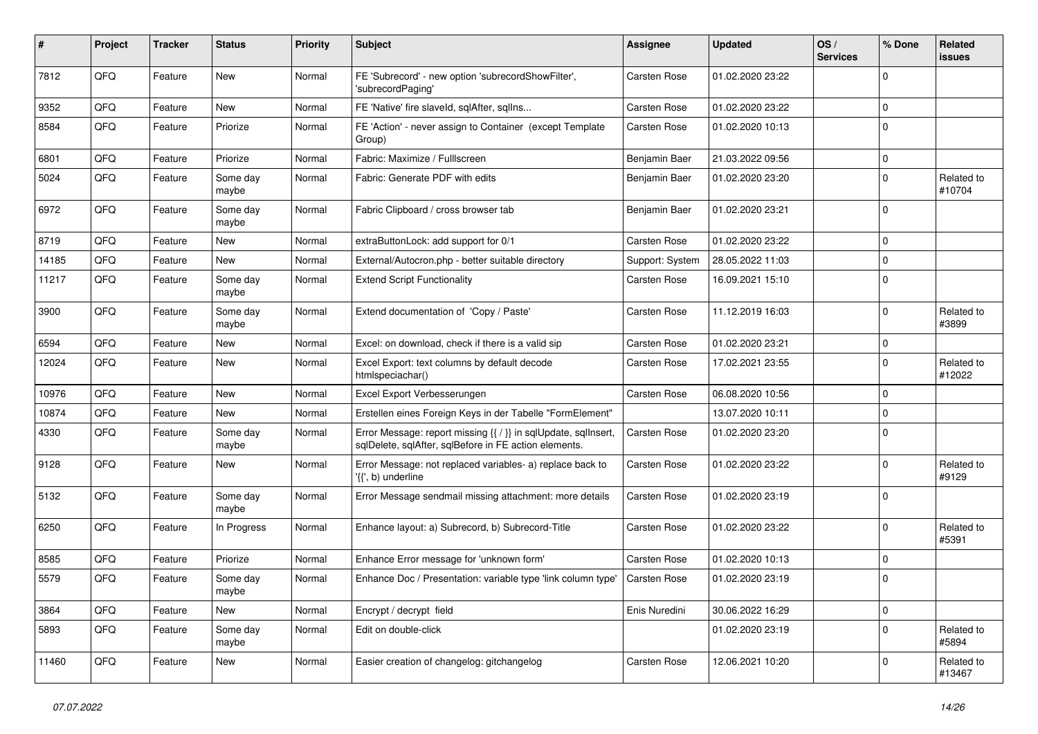| #     | Project | <b>Tracker</b> | <b>Status</b>     | <b>Priority</b> | Subject                                                                                                                 | <b>Assignee</b>     | <b>Updated</b>   | OS/<br><b>Services</b> | % Done      | Related<br>issues    |
|-------|---------|----------------|-------------------|-----------------|-------------------------------------------------------------------------------------------------------------------------|---------------------|------------------|------------------------|-------------|----------------------|
| 7812  | QFQ     | Feature        | New               | Normal          | FE 'Subrecord' - new option 'subrecordShowFilter',<br>'subrecordPaging'                                                 | <b>Carsten Rose</b> | 01.02.2020 23:22 |                        | $\mathbf 0$ |                      |
| 9352  | QFQ     | Feature        | New               | Normal          | FE 'Native' fire slaveld, sqlAfter, sqlIns                                                                              | Carsten Rose        | 01.02.2020 23:22 |                        | $\mathbf 0$ |                      |
| 8584  | QFQ     | Feature        | Priorize          | Normal          | FE 'Action' - never assign to Container (except Template<br>Group)                                                      | Carsten Rose        | 01.02.2020 10:13 |                        | $\mathbf 0$ |                      |
| 6801  | QFQ     | Feature        | Priorize          | Normal          | Fabric: Maximize / FullIscreen                                                                                          | Benjamin Baer       | 21.03.2022 09:56 |                        | $\mathbf 0$ |                      |
| 5024  | QFQ     | Feature        | Some day<br>maybe | Normal          | Fabric: Generate PDF with edits                                                                                         | Benjamin Baer       | 01.02.2020 23:20 |                        | $\mathbf 0$ | Related to<br>#10704 |
| 6972  | QFQ     | Feature        | Some day<br>maybe | Normal          | Fabric Clipboard / cross browser tab                                                                                    | Benjamin Baer       | 01.02.2020 23:21 |                        | $\mathbf 0$ |                      |
| 8719  | QFQ     | Feature        | New               | Normal          | extraButtonLock: add support for 0/1                                                                                    | Carsten Rose        | 01.02.2020 23:22 |                        | $\mathbf 0$ |                      |
| 14185 | QFQ     | Feature        | New               | Normal          | External/Autocron.php - better suitable directory                                                                       | Support: System     | 28.05.2022 11:03 |                        | $\mathbf 0$ |                      |
| 11217 | QFQ     | Feature        | Some day<br>maybe | Normal          | <b>Extend Script Functionality</b>                                                                                      | <b>Carsten Rose</b> | 16.09.2021 15:10 |                        | $\mathbf 0$ |                      |
| 3900  | QFQ     | Feature        | Some day<br>maybe | Normal          | Extend documentation of 'Copy / Paste'                                                                                  | Carsten Rose        | 11.12.2019 16:03 |                        | $\mathbf 0$ | Related to<br>#3899  |
| 6594  | QFQ     | Feature        | <b>New</b>        | Normal          | Excel: on download, check if there is a valid sip                                                                       | <b>Carsten Rose</b> | 01.02.2020 23:21 |                        | $\mathbf 0$ |                      |
| 12024 | QFQ     | Feature        | New               | Normal          | Excel Export: text columns by default decode<br>htmlspeciachar()                                                        | Carsten Rose        | 17.02.2021 23:55 |                        | 0           | Related to<br>#12022 |
| 10976 | QFQ     | Feature        | New               | Normal          | Excel Export Verbesserungen                                                                                             | <b>Carsten Rose</b> | 06.08.2020 10:56 |                        | $\mathbf 0$ |                      |
| 10874 | QFQ     | Feature        | New               | Normal          | Erstellen eines Foreign Keys in der Tabelle "FormElement"                                                               |                     | 13.07.2020 10:11 |                        | $\mathbf 0$ |                      |
| 4330  | QFQ     | Feature        | Some day<br>maybe | Normal          | Error Message: report missing {{ / }} in sqlUpdate, sqlInsert,<br>sqlDelete, sqlAfter, sqlBefore in FE action elements. | Carsten Rose        | 01.02.2020 23:20 |                        | $\mathbf 0$ |                      |
| 9128  | QFQ     | Feature        | New               | Normal          | Error Message: not replaced variables- a) replace back to<br>'{{', b) underline                                         | <b>Carsten Rose</b> | 01.02.2020 23:22 |                        | $\mathbf 0$ | Related to<br>#9129  |
| 5132  | QFQ     | Feature        | Some day<br>maybe | Normal          | Error Message sendmail missing attachment: more details                                                                 | Carsten Rose        | 01.02.2020 23:19 |                        | $\mathbf 0$ |                      |
| 6250  | QFQ     | Feature        | In Progress       | Normal          | Enhance layout: a) Subrecord, b) Subrecord-Title                                                                        | <b>Carsten Rose</b> | 01.02.2020 23:22 |                        | $\mathbf 0$ | Related to<br>#5391  |
| 8585  | QFQ     | Feature        | Priorize          | Normal          | Enhance Error message for 'unknown form'                                                                                | <b>Carsten Rose</b> | 01.02.2020 10:13 |                        | $\mathbf 0$ |                      |
| 5579  | QFQ     | Feature        | Some day<br>maybe | Normal          | Enhance Doc / Presentation: variable type 'link column type'                                                            | Carsten Rose        | 01.02.2020 23:19 |                        | $\mathbf 0$ |                      |
| 3864  | QFQ     | Feature        | New               | Normal          | Encrypt / decrypt field                                                                                                 | Enis Nuredini       | 30.06.2022 16:29 |                        | $\pmb{0}$   |                      |
| 5893  | QFQ     | Feature        | Some day<br>maybe | Normal          | Edit on double-click                                                                                                    |                     | 01.02.2020 23:19 |                        | $\pmb{0}$   | Related to<br>#5894  |
| 11460 | QFQ     | Feature        | New               | Normal          | Easier creation of changelog: gitchangelog                                                                              | Carsten Rose        | 12.06.2021 10:20 |                        | $\mathbf 0$ | Related to<br>#13467 |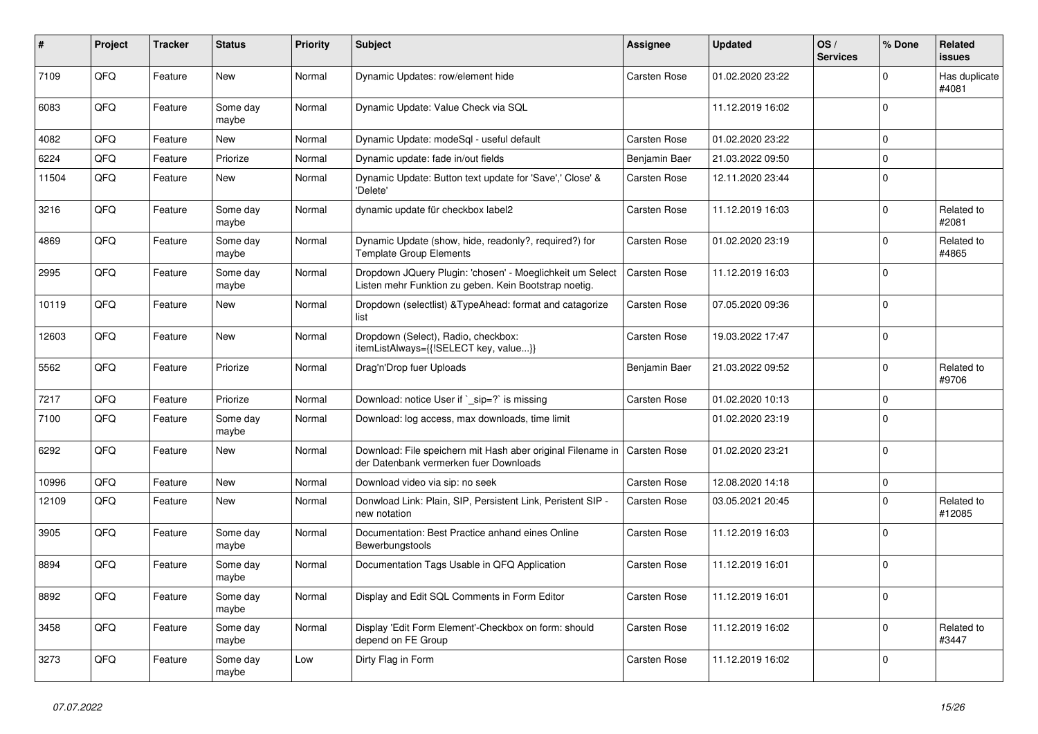| $\vert$ # | Project | <b>Tracker</b> | <b>Status</b>     | <b>Priority</b> | <b>Subject</b>                                                                                                     | Assignee            | <b>Updated</b>   | OS/<br><b>Services</b> | % Done       | <b>Related</b><br>issues |
|-----------|---------|----------------|-------------------|-----------------|--------------------------------------------------------------------------------------------------------------------|---------------------|------------------|------------------------|--------------|--------------------------|
| 7109      | QFQ     | Feature        | <b>New</b>        | Normal          | Dynamic Updates: row/element hide                                                                                  | Carsten Rose        | 01.02.2020 23:22 |                        | $\mathbf 0$  | Has duplicate<br>#4081   |
| 6083      | QFQ     | Feature        | Some day<br>maybe | Normal          | Dynamic Update: Value Check via SQL                                                                                |                     | 11.12.2019 16:02 |                        | $\mathbf{0}$ |                          |
| 4082      | QFQ     | Feature        | New               | Normal          | Dynamic Update: modeSgl - useful default                                                                           | <b>Carsten Rose</b> | 01.02.2020 23:22 |                        | $\mathbf 0$  |                          |
| 6224      | QFQ     | Feature        | Priorize          | Normal          | Dynamic update: fade in/out fields                                                                                 | Benjamin Baer       | 21.03.2022 09:50 |                        | $\mathbf 0$  |                          |
| 11504     | QFQ     | Feature        | New               | Normal          | Dynamic Update: Button text update for 'Save',' Close' &<br>'Delete'                                               | <b>Carsten Rose</b> | 12.11.2020 23:44 |                        | $\Omega$     |                          |
| 3216      | QFQ     | Feature        | Some day<br>maybe | Normal          | dynamic update für checkbox label2                                                                                 | Carsten Rose        | 11.12.2019 16:03 |                        | $\mathbf 0$  | Related to<br>#2081      |
| 4869      | QFQ     | Feature        | Some day<br>maybe | Normal          | Dynamic Update (show, hide, readonly?, required?) for<br><b>Template Group Elements</b>                            | <b>Carsten Rose</b> | 01.02.2020 23:19 |                        | $\mathbf{0}$ | Related to<br>#4865      |
| 2995      | QFQ     | Feature        | Some day<br>maybe | Normal          | Dropdown JQuery Plugin: 'chosen' - Moeglichkeit um Select<br>Listen mehr Funktion zu geben. Kein Bootstrap noetig. | Carsten Rose        | 11.12.2019 16:03 |                        | $\Omega$     |                          |
| 10119     | QFQ     | Feature        | <b>New</b>        | Normal          | Dropdown (selectlist) & Type Ahead: format and catagorize<br>list                                                  | Carsten Rose        | 07.05.2020 09:36 |                        | $\mathbf 0$  |                          |
| 12603     | QFQ     | Feature        | New               | Normal          | Dropdown (Select), Radio, checkbox:<br>itemListAlways={{!SELECT key, value}}                                       | Carsten Rose        | 19.03.2022 17:47 |                        | $\mathbf 0$  |                          |
| 5562      | QFQ     | Feature        | Priorize          | Normal          | Drag'n'Drop fuer Uploads                                                                                           | Benjamin Baer       | 21.03.2022 09:52 |                        | $\mathbf 0$  | Related to<br>#9706      |
| 7217      | QFQ     | Feature        | Priorize          | Normal          | Download: notice User if `_sip=?` is missing                                                                       | <b>Carsten Rose</b> | 01.02.2020 10:13 |                        | $\mathbf 0$  |                          |
| 7100      | QFQ     | Feature        | Some day<br>maybe | Normal          | Download: log access, max downloads, time limit                                                                    |                     | 01.02.2020 23:19 |                        | $\Omega$     |                          |
| 6292      | QFQ     | Feature        | <b>New</b>        | Normal          | Download: File speichern mit Hash aber original Filename in<br>der Datenbank vermerken fuer Downloads              | <b>Carsten Rose</b> | 01.02.2020 23:21 |                        | $\mathbf 0$  |                          |
| 10996     | QFQ     | Feature        | New               | Normal          | Download video via sip: no seek                                                                                    | Carsten Rose        | 12.08.2020 14:18 |                        | $\pmb{0}$    |                          |
| 12109     | QFQ     | Feature        | New               | Normal          | Donwload Link: Plain, SIP, Persistent Link, Peristent SIP -<br>new notation                                        | Carsten Rose        | 03.05.2021 20:45 |                        | $\mathbf 0$  | Related to<br>#12085     |
| 3905      | QFQ     | Feature        | Some day<br>maybe | Normal          | Documentation: Best Practice anhand eines Online<br>Bewerbungstools                                                | Carsten Rose        | 11.12.2019 16:03 |                        | $\pmb{0}$    |                          |
| 8894      | QFQ     | Feature        | Some day<br>maybe | Normal          | Documentation Tags Usable in QFQ Application                                                                       | <b>Carsten Rose</b> | 11.12.2019 16:01 |                        | $\mathbf 0$  |                          |
| 8892      | QFQ     | Feature        | Some day<br>maybe | Normal          | Display and Edit SQL Comments in Form Editor                                                                       | <b>Carsten Rose</b> | 11.12.2019 16:01 |                        | $\mathbf 0$  |                          |
| 3458      | QFQ     | Feature        | Some day<br>maybe | Normal          | Display 'Edit Form Element'-Checkbox on form: should<br>depend on FE Group                                         | <b>Carsten Rose</b> | 11.12.2019 16:02 |                        | $\mathbf 0$  | Related to<br>#3447      |
| 3273      | QFQ     | Feature        | Some day<br>maybe | Low             | Dirty Flag in Form                                                                                                 | <b>Carsten Rose</b> | 11.12.2019 16:02 |                        | $\pmb{0}$    |                          |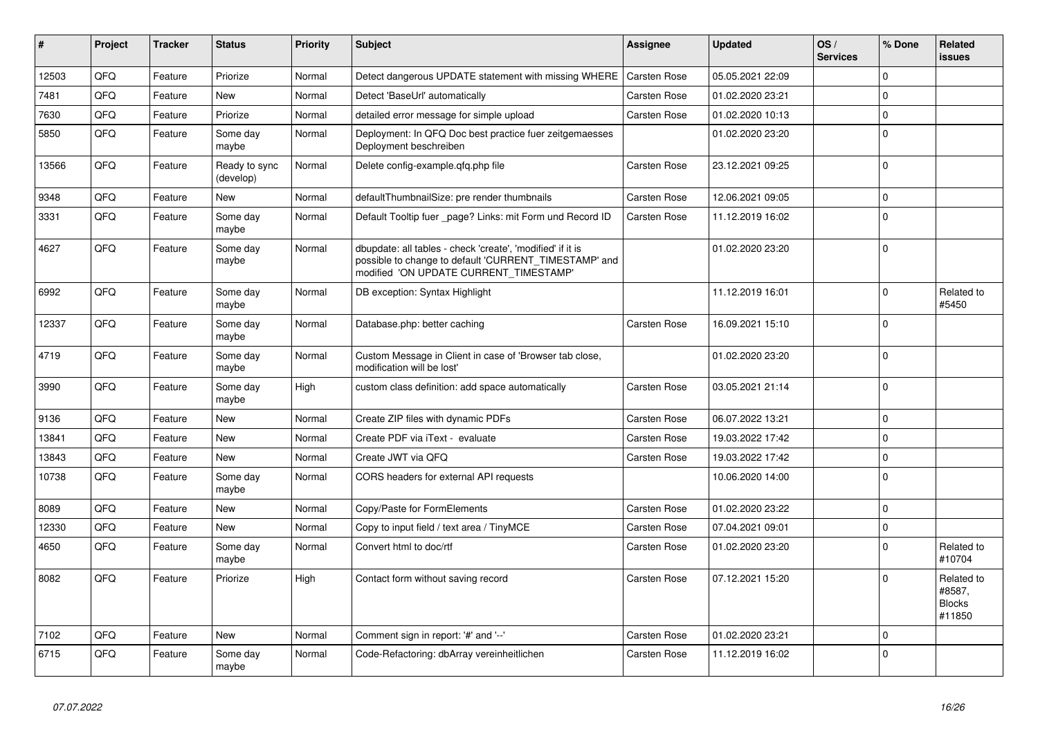| #     | Project | <b>Tracker</b> | <b>Status</b>              | <b>Priority</b> | <b>Subject</b>                                                                                                                                                | <b>Assignee</b>     | <b>Updated</b>   | OS/<br><b>Services</b> | % Done      | Related<br><b>issues</b>                        |
|-------|---------|----------------|----------------------------|-----------------|---------------------------------------------------------------------------------------------------------------------------------------------------------------|---------------------|------------------|------------------------|-------------|-------------------------------------------------|
| 12503 | QFQ     | Feature        | Priorize                   | Normal          | Detect dangerous UPDATE statement with missing WHERE                                                                                                          | Carsten Rose        | 05.05.2021 22:09 |                        | $\Omega$    |                                                 |
| 7481  | QFQ     | Feature        | <b>New</b>                 | Normal          | Detect 'BaseUrl' automatically                                                                                                                                | Carsten Rose        | 01.02.2020 23:21 |                        | $\Omega$    |                                                 |
| 7630  | QFQ     | Feature        | Priorize                   | Normal          | detailed error message for simple upload                                                                                                                      | Carsten Rose        | 01.02.2020 10:13 |                        | $\mathbf 0$ |                                                 |
| 5850  | QFQ     | Feature        | Some dav<br>maybe          | Normal          | Deployment: In QFQ Doc best practice fuer zeitgemaesses<br>Deployment beschreiben                                                                             |                     | 01.02.2020 23:20 |                        | $\Omega$    |                                                 |
| 13566 | QFQ     | Feature        | Ready to sync<br>(develop) | Normal          | Delete config-example.qfq.php file                                                                                                                            | Carsten Rose        | 23.12.2021 09:25 |                        | $\Omega$    |                                                 |
| 9348  | QFQ     | Feature        | <b>New</b>                 | Normal          | defaultThumbnailSize: pre render thumbnails                                                                                                                   | <b>Carsten Rose</b> | 12.06.2021 09:05 |                        | $\mathbf 0$ |                                                 |
| 3331  | QFQ     | Feature        | Some day<br>maybe          | Normal          | Default Tooltip fuer _page? Links: mit Form und Record ID                                                                                                     | Carsten Rose        | 11.12.2019 16:02 |                        | $\mathbf 0$ |                                                 |
| 4627  | QFQ     | Feature        | Some day<br>maybe          | Normal          | dbupdate: all tables - check 'create', 'modified' if it is<br>possible to change to default 'CURRENT_TIMESTAMP' and<br>modified 'ON UPDATE CURRENT_TIMESTAMP' |                     | 01.02.2020 23:20 |                        | $\Omega$    |                                                 |
| 6992  | QFQ     | Feature        | Some day<br>maybe          | Normal          | DB exception: Syntax Highlight                                                                                                                                |                     | 11.12.2019 16:01 |                        | $\Omega$    | Related to<br>#5450                             |
| 12337 | QFQ     | Feature        | Some day<br>maybe          | Normal          | Database.php: better caching                                                                                                                                  | Carsten Rose        | 16.09.2021 15:10 |                        | $\mathbf 0$ |                                                 |
| 4719  | QFQ     | Feature        | Some day<br>maybe          | Normal          | Custom Message in Client in case of 'Browser tab close,<br>modification will be lost'                                                                         |                     | 01.02.2020 23:20 |                        | $\mathbf 0$ |                                                 |
| 3990  | QFQ     | Feature        | Some dav<br>maybe          | High            | custom class definition: add space automatically                                                                                                              | <b>Carsten Rose</b> | 03.05.2021 21:14 |                        | $\Omega$    |                                                 |
| 9136  | QFQ     | Feature        | <b>New</b>                 | Normal          | Create ZIP files with dynamic PDFs                                                                                                                            | <b>Carsten Rose</b> | 06.07.2022 13:21 |                        | $\Omega$    |                                                 |
| 13841 | QFQ     | Feature        | <b>New</b>                 | Normal          | Create PDF via iText - evaluate                                                                                                                               | Carsten Rose        | 19.03.2022 17:42 |                        | $\Omega$    |                                                 |
| 13843 | QFQ     | Feature        | <b>New</b>                 | Normal          | Create JWT via QFQ                                                                                                                                            | <b>Carsten Rose</b> | 19.03.2022 17:42 |                        | $\mathbf 0$ |                                                 |
| 10738 | QFQ     | Feature        | Some day<br>maybe          | Normal          | CORS headers for external API requests                                                                                                                        |                     | 10.06.2020 14:00 |                        | $\Omega$    |                                                 |
| 8089  | QFQ     | Feature        | <b>New</b>                 | Normal          | Copy/Paste for FormElements                                                                                                                                   | <b>Carsten Rose</b> | 01.02.2020 23:22 |                        | $\Omega$    |                                                 |
| 12330 | QFQ     | Feature        | <b>New</b>                 | Normal          | Copy to input field / text area / TinyMCE                                                                                                                     | Carsten Rose        | 07.04.2021 09:01 |                        | $\mathbf 0$ |                                                 |
| 4650  | QFQ     | Feature        | Some day<br>maybe          | Normal          | Convert html to doc/rtf                                                                                                                                       | Carsten Rose        | 01.02.2020 23:20 |                        | $\Omega$    | Related to<br>#10704                            |
| 8082  | QFQ     | Feature        | Priorize                   | High            | Contact form without saving record                                                                                                                            | Carsten Rose        | 07.12.2021 15:20 |                        | $\Omega$    | Related to<br>#8587,<br><b>Blocks</b><br>#11850 |
| 7102  | QFQ     | Feature        | <b>New</b>                 | Normal          | Comment sign in report: '#' and '--'                                                                                                                          | <b>Carsten Rose</b> | 01.02.2020 23:21 |                        | $\mathbf 0$ |                                                 |
| 6715  | QFQ     | Feature        | Some dav<br>maybe          | Normal          | Code-Refactoring: dbArray vereinheitlichen                                                                                                                    | Carsten Rose        | 11.12.2019 16:02 |                        | $\Omega$    |                                                 |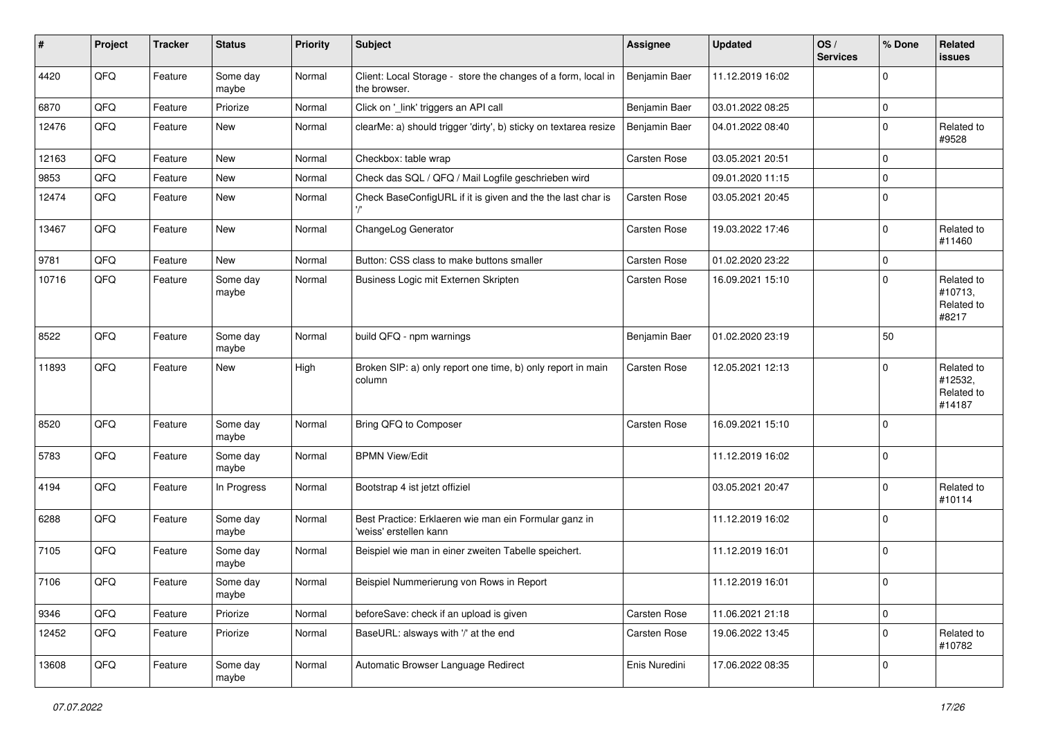| #     | Project | <b>Tracker</b> | <b>Status</b>     | <b>Priority</b> | <b>Subject</b>                                                                  | Assignee            | <b>Updated</b>   | OS/<br><b>Services</b> | % Done         | Related<br>issues                             |
|-------|---------|----------------|-------------------|-----------------|---------------------------------------------------------------------------------|---------------------|------------------|------------------------|----------------|-----------------------------------------------|
| 4420  | QFQ     | Feature        | Some day<br>maybe | Normal          | Client: Local Storage - store the changes of a form, local in<br>the browser.   | Benjamin Baer       | 11.12.2019 16:02 |                        | $\mathbf 0$    |                                               |
| 6870  | QFQ     | Feature        | Priorize          | Normal          | Click on '_link' triggers an API call                                           | Benjamin Baer       | 03.01.2022 08:25 |                        | $\mathbf 0$    |                                               |
| 12476 | QFQ     | Feature        | New               | Normal          | clearMe: a) should trigger 'dirty', b) sticky on textarea resize                | Benjamin Baer       | 04.01.2022 08:40 |                        | $\mathbf 0$    | Related to<br>#9528                           |
| 12163 | QFQ     | Feature        | <b>New</b>        | Normal          | Checkbox: table wrap                                                            | <b>Carsten Rose</b> | 03.05.2021 20:51 |                        | $\mathbf{0}$   |                                               |
| 9853  | QFQ     | Feature        | New               | Normal          | Check das SQL / QFQ / Mail Logfile geschrieben wird                             |                     | 09.01.2020 11:15 |                        | $\pmb{0}$      |                                               |
| 12474 | QFQ     | Feature        | New               | Normal          | Check BaseConfigURL if it is given and the the last char is                     | <b>Carsten Rose</b> | 03.05.2021 20:45 |                        | $\mathbf 0$    |                                               |
| 13467 | QFQ     | Feature        | New               | Normal          | ChangeLog Generator                                                             | Carsten Rose        | 19.03.2022 17:46 |                        | $\mathbf 0$    | Related to<br>#11460                          |
| 9781  | QFQ     | Feature        | New               | Normal          | Button: CSS class to make buttons smaller                                       | <b>Carsten Rose</b> | 01.02.2020 23:22 |                        | $\mathbf 0$    |                                               |
| 10716 | QFQ     | Feature        | Some day<br>maybe | Normal          | Business Logic mit Externen Skripten                                            | Carsten Rose        | 16.09.2021 15:10 |                        | $\mathbf 0$    | Related to<br>#10713,<br>Related to<br>#8217  |
| 8522  | QFQ     | Feature        | Some day<br>maybe | Normal          | build QFQ - npm warnings                                                        | Benjamin Baer       | 01.02.2020 23:19 |                        | 50             |                                               |
| 11893 | QFQ     | Feature        | New               | High            | Broken SIP: a) only report one time, b) only report in main<br>column           | <b>Carsten Rose</b> | 12.05.2021 12:13 |                        | $\mathbf 0$    | Related to<br>#12532,<br>Related to<br>#14187 |
| 8520  | QFQ     | Feature        | Some day<br>maybe | Normal          | Bring QFQ to Composer                                                           | Carsten Rose        | 16.09.2021 15:10 |                        | $\mathbf 0$    |                                               |
| 5783  | QFQ     | Feature        | Some day<br>maybe | Normal          | <b>BPMN View/Edit</b>                                                           |                     | 11.12.2019 16:02 |                        | $\pmb{0}$      |                                               |
| 4194  | QFQ     | Feature        | In Progress       | Normal          | Bootstrap 4 ist jetzt offiziel                                                  |                     | 03.05.2021 20:47 |                        | $\mathbf 0$    | Related to<br>#10114                          |
| 6288  | QFQ     | Feature        | Some day<br>maybe | Normal          | Best Practice: Erklaeren wie man ein Formular ganz in<br>'weiss' erstellen kann |                     | 11.12.2019 16:02 |                        | $\mathbf 0$    |                                               |
| 7105  | QFQ     | Feature        | Some day<br>maybe | Normal          | Beispiel wie man in einer zweiten Tabelle speichert.                            |                     | 11.12.2019 16:01 |                        | $\mathbf 0$    |                                               |
| 7106  | QFQ     | Feature        | Some day<br>maybe | Normal          | Beispiel Nummerierung von Rows in Report                                        |                     | 11.12.2019 16:01 |                        | $\overline{0}$ |                                               |
| 9346  | QFO     | Feature        | Priorize          | Normal          | beforeSave: check if an upload is given                                         | Carsten Rose        | 11.06.2021 21:18 |                        | $\pmb{0}$      |                                               |
| 12452 | QFQ     | Feature        | Priorize          | Normal          | BaseURL: alsways with '/' at the end                                            | Carsten Rose        | 19.06.2022 13:45 |                        | $\pmb{0}$      | Related to<br>#10782                          |
| 13608 | QFQ     | Feature        | Some day<br>maybe | Normal          | Automatic Browser Language Redirect                                             | Enis Nuredini       | 17.06.2022 08:35 |                        | $\pmb{0}$      |                                               |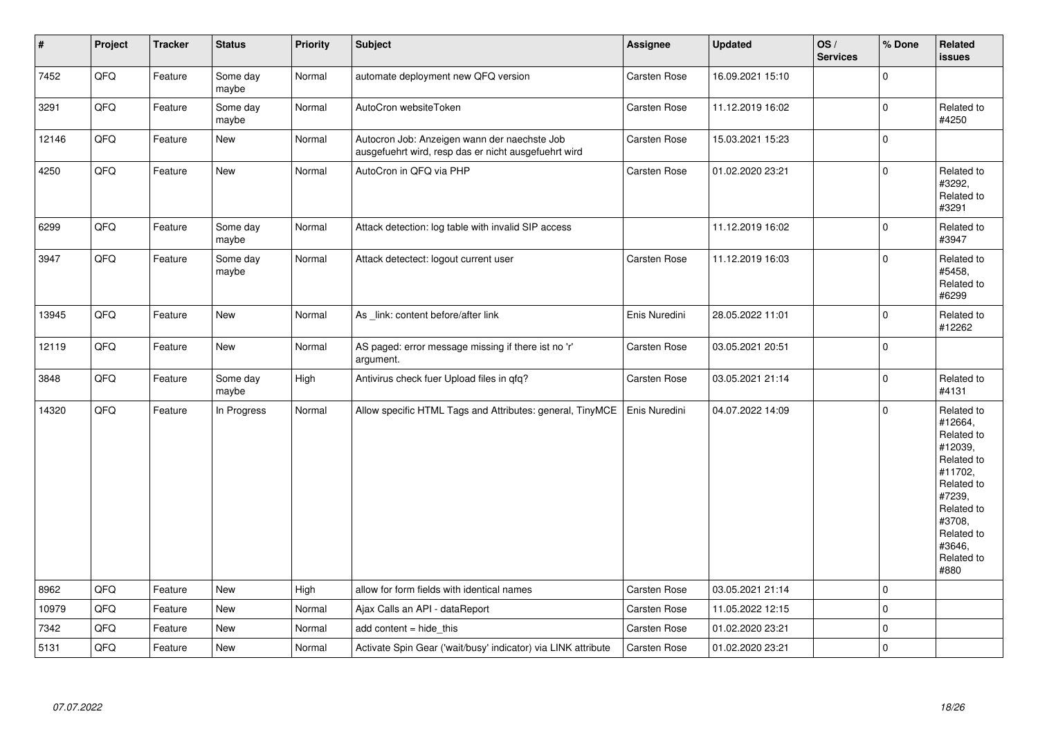| $\vert$ # | Project | <b>Tracker</b> | <b>Status</b>     | <b>Priority</b> | <b>Subject</b>                                                                                       | <b>Assignee</b>     | <b>Updated</b>   | OS/<br><b>Services</b> | % Done      | Related<br><b>issues</b>                                                                                                                                              |
|-----------|---------|----------------|-------------------|-----------------|------------------------------------------------------------------------------------------------------|---------------------|------------------|------------------------|-------------|-----------------------------------------------------------------------------------------------------------------------------------------------------------------------|
| 7452      | QFQ     | Feature        | Some day<br>maybe | Normal          | automate deployment new QFQ version                                                                  | <b>Carsten Rose</b> | 16.09.2021 15:10 |                        | $\pmb{0}$   |                                                                                                                                                                       |
| 3291      | QFO     | Feature        | Some day<br>maybe | Normal          | AutoCron websiteToken                                                                                | Carsten Rose        | 11.12.2019 16:02 |                        | $\pmb{0}$   | Related to<br>#4250                                                                                                                                                   |
| 12146     | QFQ     | Feature        | <b>New</b>        | Normal          | Autocron Job: Anzeigen wann der naechste Job<br>ausgefuehrt wird, resp das er nicht ausgefuehrt wird | <b>Carsten Rose</b> | 15.03.2021 15:23 |                        | $\pmb{0}$   |                                                                                                                                                                       |
| 4250      | QFQ     | Feature        | New               | Normal          | AutoCron in QFQ via PHP                                                                              | Carsten Rose        | 01.02.2020 23:21 |                        | $\pmb{0}$   | Related to<br>#3292,<br>Related to<br>#3291                                                                                                                           |
| 6299      | QFO     | Feature        | Some day<br>maybe | Normal          | Attack detection: log table with invalid SIP access                                                  |                     | 11.12.2019 16:02 |                        | $\mathbf 0$ | Related to<br>#3947                                                                                                                                                   |
| 3947      | QFQ     | Feature        | Some day<br>maybe | Normal          | Attack detectect: logout current user                                                                | <b>Carsten Rose</b> | 11.12.2019 16:03 |                        | $\mathbf 0$ | Related to<br>#5458,<br>Related to<br>#6299                                                                                                                           |
| 13945     | QFQ     | Feature        | New               | Normal          | As link: content before/after link                                                                   | Enis Nuredini       | 28.05.2022 11:01 |                        | $\mathbf 0$ | Related to<br>#12262                                                                                                                                                  |
| 12119     | QFQ     | Feature        | <b>New</b>        | Normal          | AS paged: error message missing if there ist no 'r'<br>argument.                                     | Carsten Rose        | 03.05.2021 20:51 |                        | $\mathbf 0$ |                                                                                                                                                                       |
| 3848      | QFQ     | Feature        | Some day<br>maybe | High            | Antivirus check fuer Upload files in qfq?                                                            | Carsten Rose        | 03.05.2021 21:14 |                        | $\pmb{0}$   | Related to<br>#4131                                                                                                                                                   |
| 14320     | QFQ     | Feature        | In Progress       | Normal          | Allow specific HTML Tags and Attributes: general, TinyMCE                                            | Enis Nuredini       | 04.07.2022 14:09 |                        | $\Omega$    | Related to<br>#12664,<br>Related to<br>#12039,<br>Related to<br>#11702,<br>Related to<br>#7239,<br>Related to<br>#3708,<br>Related to<br>#3646,<br>Related to<br>#880 |
| 8962      | QFQ     | Feature        | New               | High            | allow for form fields with identical names                                                           | <b>Carsten Rose</b> | 03.05.2021 21:14 |                        | $\pmb{0}$   |                                                                                                                                                                       |
| 10979     | QFQ     | Feature        | New               | Normal          | Ajax Calls an API - dataReport                                                                       | <b>Carsten Rose</b> | 11.05.2022 12:15 |                        | $\pmb{0}$   |                                                                                                                                                                       |
| 7342      | QFQ     | Feature        | <b>New</b>        | Normal          | add content = hide_this                                                                              | Carsten Rose        | 01.02.2020 23:21 |                        | $\pmb{0}$   |                                                                                                                                                                       |
| 5131      | QFQ     | Feature        | New               | Normal          | Activate Spin Gear ('wait/busy' indicator) via LINK attribute                                        | <b>Carsten Rose</b> | 01.02.2020 23:21 |                        | $\pmb{0}$   |                                                                                                                                                                       |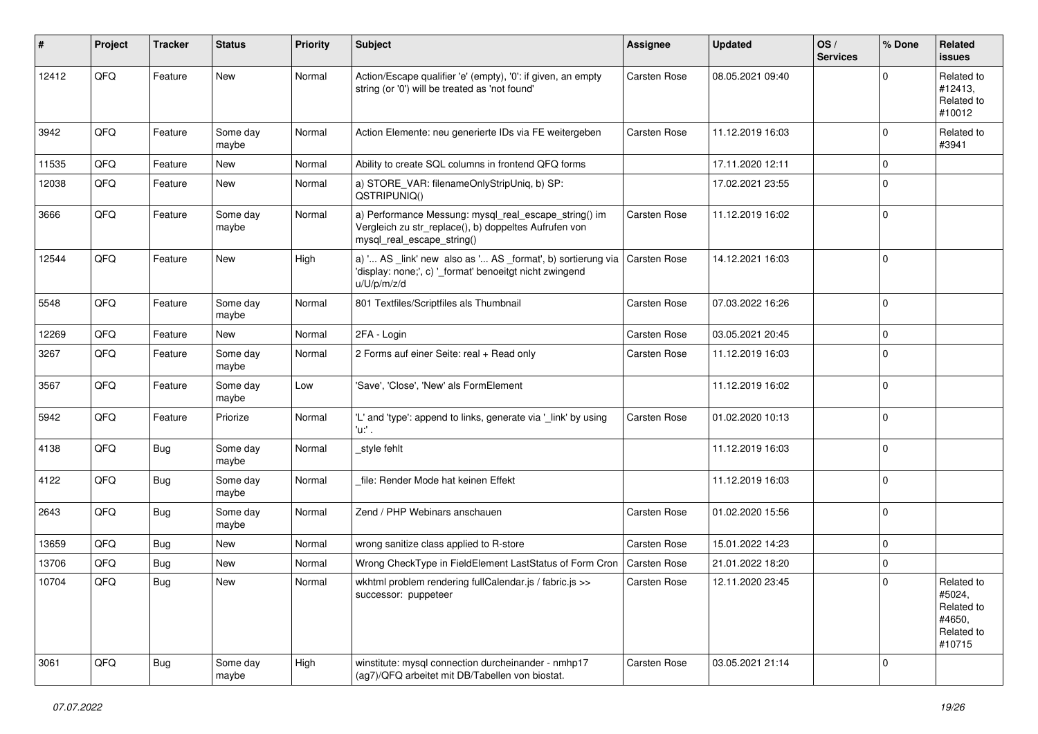| #     | Project | <b>Tracker</b> | <b>Status</b>     | <b>Priority</b> | <b>Subject</b>                                                                                                                               | Assignee            | <b>Updated</b>   | OS/<br><b>Services</b> | % Done         | Related<br>issues                                                    |
|-------|---------|----------------|-------------------|-----------------|----------------------------------------------------------------------------------------------------------------------------------------------|---------------------|------------------|------------------------|----------------|----------------------------------------------------------------------|
| 12412 | QFQ     | Feature        | New               | Normal          | Action/Escape qualifier 'e' (empty), '0': if given, an empty<br>string (or '0') will be treated as 'not found'                               | <b>Carsten Rose</b> | 08.05.2021 09:40 |                        | $\mathbf 0$    | Related to<br>#12413,<br>Related to<br>#10012                        |
| 3942  | QFQ     | Feature        | Some day<br>maybe | Normal          | Action Elemente: neu generierte IDs via FE weitergeben                                                                                       | <b>Carsten Rose</b> | 11.12.2019 16:03 |                        | $\mathbf 0$    | Related to<br>#3941                                                  |
| 11535 | QFQ     | Feature        | New               | Normal          | Ability to create SQL columns in frontend QFQ forms                                                                                          |                     | 17.11.2020 12:11 |                        | $\mathbf 0$    |                                                                      |
| 12038 | QFQ     | Feature        | New               | Normal          | a) STORE VAR: filenameOnlyStripUniq, b) SP:<br>QSTRIPUNIQ()                                                                                  |                     | 17.02.2021 23:55 |                        | $\mathbf 0$    |                                                                      |
| 3666  | QFQ     | Feature        | Some day<br>maybe | Normal          | a) Performance Messung: mysql_real_escape_string() im<br>Vergleich zu str_replace(), b) doppeltes Aufrufen von<br>mysql_real_escape_string() | <b>Carsten Rose</b> | 11.12.2019 16:02 |                        | $\mathbf 0$    |                                                                      |
| 12544 | QFQ     | Feature        | New               | High            | a) ' AS _link' new also as ' AS _format', b) sortierung via<br>'display: none;', c) '_format' benoeitgt nicht zwingend<br>u/U/p/m/z/d        | Carsten Rose        | 14.12.2021 16:03 |                        | $\mathbf 0$    |                                                                      |
| 5548  | QFQ     | Feature        | Some day<br>maybe | Normal          | 801 Textfiles/Scriptfiles als Thumbnail                                                                                                      | Carsten Rose        | 07.03.2022 16:26 |                        | $\mathbf 0$    |                                                                      |
| 12269 | QFQ     | Feature        | New               | Normal          | 2FA - Login                                                                                                                                  | <b>Carsten Rose</b> | 03.05.2021 20:45 |                        | $\mathbf 0$    |                                                                      |
| 3267  | QFQ     | Feature        | Some day<br>maybe | Normal          | 2 Forms auf einer Seite: real + Read only                                                                                                    | <b>Carsten Rose</b> | 11.12.2019 16:03 |                        | $\mathbf 0$    |                                                                      |
| 3567  | QFQ     | Feature        | Some day<br>maybe | Low             | 'Save', 'Close', 'New' als FormElement                                                                                                       |                     | 11.12.2019 16:02 |                        | $\mathbf 0$    |                                                                      |
| 5942  | QFQ     | Feature        | Priorize          | Normal          | 'L' and 'type': append to links, generate via '_link' by using<br>'u:' .                                                                     | Carsten Rose        | 01.02.2020 10:13 |                        | $\mathbf 0$    |                                                                      |
| 4138  | QFQ     | Bug            | Some day<br>maybe | Normal          | _style fehlt                                                                                                                                 |                     | 11.12.2019 16:03 |                        | 0              |                                                                      |
| 4122  | QFQ     | Bug            | Some day<br>maybe | Normal          | file: Render Mode hat keinen Effekt                                                                                                          |                     | 11.12.2019 16:03 |                        | $\mathbf 0$    |                                                                      |
| 2643  | QFQ     | <b>Bug</b>     | Some day<br>maybe | Normal          | Zend / PHP Webinars anschauen                                                                                                                | Carsten Rose        | 01.02.2020 15:56 |                        | $\mathbf 0$    |                                                                      |
| 13659 | QFQ     | Bug            | New               | Normal          | wrong sanitize class applied to R-store                                                                                                      | Carsten Rose        | 15.01.2022 14:23 |                        | $\mathbf 0$    |                                                                      |
| 13706 | QFQ     | Bug            | New               | Normal          | Wrong CheckType in FieldElement LastStatus of Form Cron                                                                                      | Carsten Rose        | 21.01.2022 18:20 |                        | $\mathbf 0$    |                                                                      |
| 10704 | QFQ     | Bug            | New               | Normal          | wkhtml problem rendering fullCalendar.js / fabric.js >><br>successor: puppeteer                                                              | <b>Carsten Rose</b> | 12.11.2020 23:45 |                        | $\overline{0}$ | Related to<br>#5024,<br>Related to<br>#4650,<br>Related to<br>#10715 |
| 3061  | QFO     | <b>Bug</b>     | Some day<br>maybe | High            | winstitute: mysql connection durcheinander - nmhp17<br>(ag7)/QFQ arbeitet mit DB/Tabellen von biostat.                                       | Carsten Rose        | 03.05.2021 21:14 |                        | $\mathbf 0$    |                                                                      |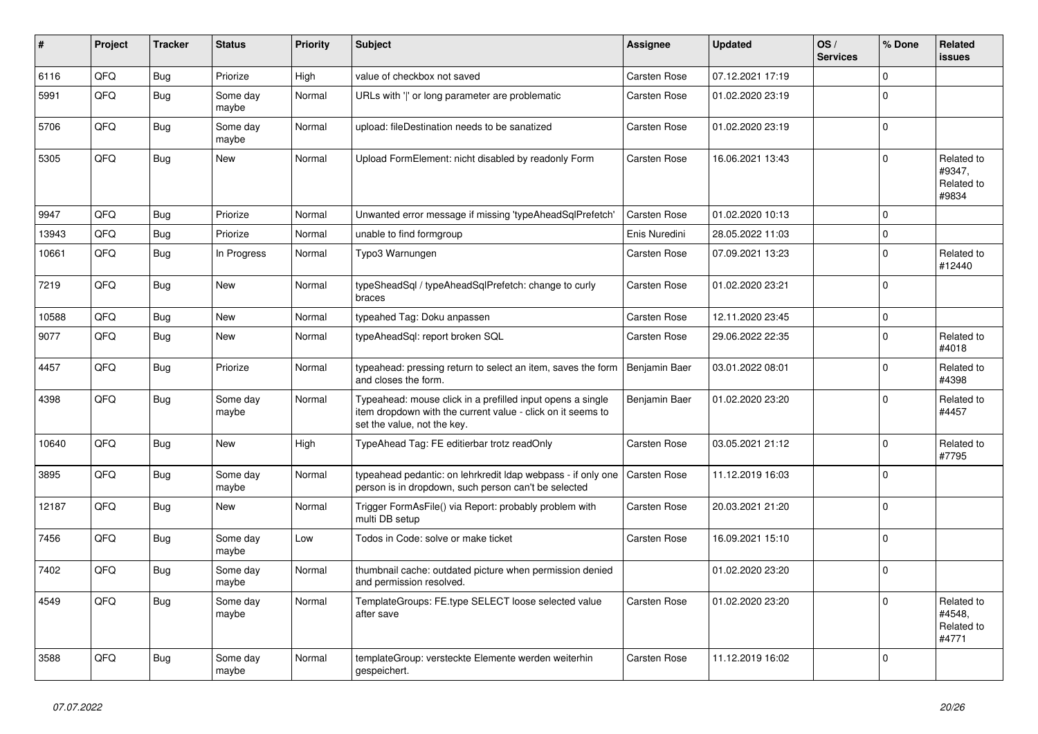| #     | Project | <b>Tracker</b> | <b>Status</b>     | <b>Priority</b> | <b>Subject</b>                                                                                                                                           | Assignee            | <b>Updated</b>   | OS/<br><b>Services</b> | % Done       | Related<br>issues                           |
|-------|---------|----------------|-------------------|-----------------|----------------------------------------------------------------------------------------------------------------------------------------------------------|---------------------|------------------|------------------------|--------------|---------------------------------------------|
| 6116  | QFQ     | <b>Bug</b>     | Priorize          | High            | value of checkbox not saved                                                                                                                              | Carsten Rose        | 07.12.2021 17:19 |                        | $\mathbf 0$  |                                             |
| 5991  | QFQ     | Bug            | Some day<br>maybe | Normal          | URLs with 'I' or long parameter are problematic                                                                                                          | Carsten Rose        | 01.02.2020 23:19 |                        | $\mathbf{0}$ |                                             |
| 5706  | QFQ     | <b>Bug</b>     | Some day<br>maybe | Normal          | upload: fileDestination needs to be sanatized                                                                                                            | Carsten Rose        | 01.02.2020 23:19 |                        | $\Omega$     |                                             |
| 5305  | QFQ     | Bug            | <b>New</b>        | Normal          | Upload FormElement: nicht disabled by readonly Form                                                                                                      | Carsten Rose        | 16.06.2021 13:43 |                        | $\mathbf 0$  | Related to<br>#9347,<br>Related to<br>#9834 |
| 9947  | QFQ     | Bug            | Priorize          | Normal          | Unwanted error message if missing 'typeAheadSqlPrefetch'                                                                                                 | Carsten Rose        | 01.02.2020 10:13 |                        | $\Omega$     |                                             |
| 13943 | QFQ     | Bug            | Priorize          | Normal          | unable to find formgroup                                                                                                                                 | Enis Nuredini       | 28.05.2022 11:03 |                        | $\pmb{0}$    |                                             |
| 10661 | QFQ     | Bug            | In Progress       | Normal          | Typo3 Warnungen                                                                                                                                          | Carsten Rose        | 07.09.2021 13:23 |                        | $\mathbf 0$  | Related to<br>#12440                        |
| 7219  | QFQ     | Bug            | <b>New</b>        | Normal          | typeSheadSql / typeAheadSqlPrefetch: change to curly<br>braces                                                                                           | Carsten Rose        | 01.02.2020 23:21 |                        | $\mathbf{0}$ |                                             |
| 10588 | QFQ     | Bug            | New               | Normal          | typeahed Tag: Doku anpassen                                                                                                                              | <b>Carsten Rose</b> | 12.11.2020 23:45 |                        | $\pmb{0}$    |                                             |
| 9077  | QFQ     | Bug            | New               | Normal          | typeAheadSql: report broken SQL                                                                                                                          | Carsten Rose        | 29.06.2022 22:35 |                        | $\mathbf 0$  | Related to<br>#4018                         |
| 4457  | QFQ     | Bug            | Priorize          | Normal          | typeahead: pressing return to select an item, saves the form<br>and closes the form.                                                                     | Benjamin Baer       | 03.01.2022 08:01 |                        | $\pmb{0}$    | Related to<br>#4398                         |
| 4398  | QFQ     | Bug            | Some day<br>maybe | Normal          | Typeahead: mouse click in a prefilled input opens a single<br>item dropdown with the current value - click on it seems to<br>set the value, not the key. | Benjamin Baer       | 01.02.2020 23:20 |                        | $\mathbf 0$  | Related to<br>#4457                         |
| 10640 | QFQ     | Bug            | New               | High            | TypeAhead Tag: FE editierbar trotz readOnly                                                                                                              | Carsten Rose        | 03.05.2021 21:12 |                        | $\mathbf 0$  | Related to<br>#7795                         |
| 3895  | QFQ     | Bug            | Some day<br>maybe | Normal          | typeahead pedantic: on lehrkredit Idap webpass - if only one<br>person is in dropdown, such person can't be selected                                     | <b>Carsten Rose</b> | 11.12.2019 16:03 |                        | $\Omega$     |                                             |
| 12187 | QFQ     | <b>Bug</b>     | <b>New</b>        | Normal          | Trigger FormAsFile() via Report: probably problem with<br>multi DB setup                                                                                 | Carsten Rose        | 20.03.2021 21:20 |                        | $\mathbf 0$  |                                             |
| 7456  | QFQ     | <b>Bug</b>     | Some day<br>maybe | Low             | Todos in Code: solve or make ticket                                                                                                                      | Carsten Rose        | 16.09.2021 15:10 |                        | $\mathbf 0$  |                                             |
| 7402  | QFQ     | Bug            | Some day<br>maybe | Normal          | thumbnail cache: outdated picture when permission denied<br>and permission resolved.                                                                     |                     | 01.02.2020 23:20 |                        | $\mathbf{0}$ |                                             |
| 4549  | QFQ     | <b>Bug</b>     | Some day<br>maybe | Normal          | TemplateGroups: FE.type SELECT loose selected value<br>after save                                                                                        | Carsten Rose        | 01.02.2020 23:20 |                        | $\Omega$     | Related to<br>#4548.<br>Related to<br>#4771 |
| 3588  | QFQ     | Bug            | Some day<br>maybe | Normal          | templateGroup: versteckte Elemente werden weiterhin<br>gespeichert.                                                                                      | <b>Carsten Rose</b> | 11.12.2019 16:02 |                        | $\mathbf 0$  |                                             |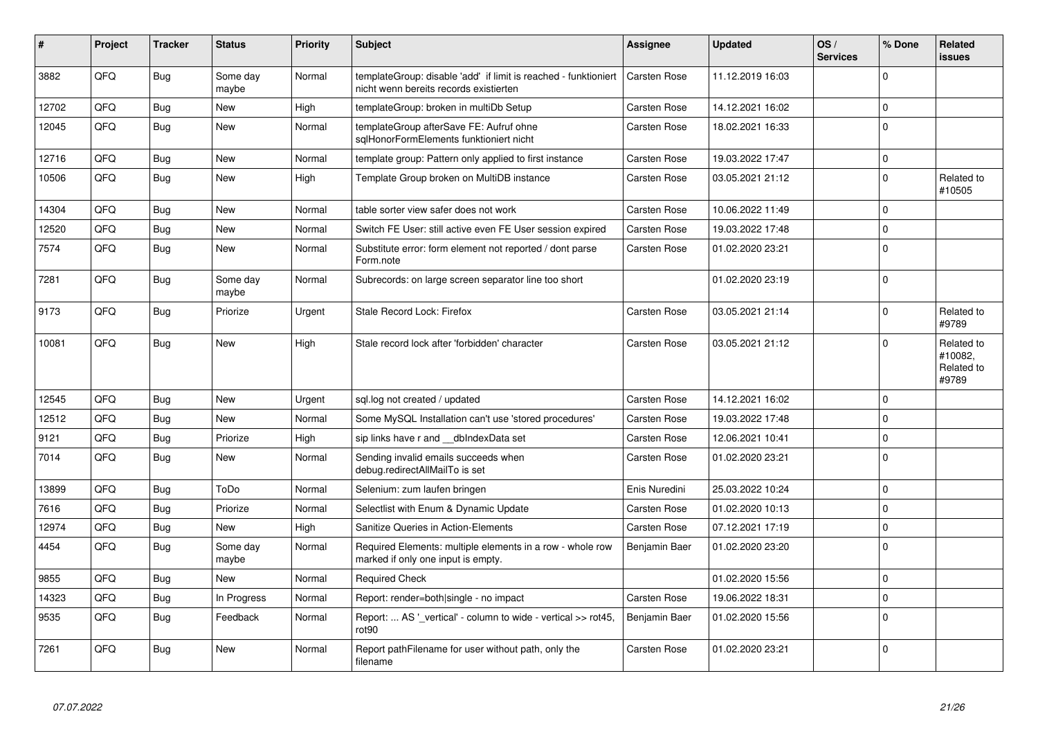| #     | <b>Project</b> | <b>Tracker</b> | <b>Status</b>     | <b>Priority</b> | <b>Subject</b>                                                                                            | Assignee            | <b>Updated</b>   | OS/<br><b>Services</b> | % Done      | Related<br><b>issues</b>                     |
|-------|----------------|----------------|-------------------|-----------------|-----------------------------------------------------------------------------------------------------------|---------------------|------------------|------------------------|-------------|----------------------------------------------|
| 3882  | QFQ            | <b>Bug</b>     | Some day<br>maybe | Normal          | templateGroup: disable 'add' if limit is reached - funktioniert<br>nicht wenn bereits records existierten | Carsten Rose        | 11.12.2019 16:03 |                        | $\Omega$    |                                              |
| 12702 | QFQ            | Bug            | <b>New</b>        | High            | templateGroup: broken in multiDb Setup                                                                    | Carsten Rose        | 14.12.2021 16:02 |                        | $\mathbf 0$ |                                              |
| 12045 | QFQ            | <b>Bug</b>     | <b>New</b>        | Normal          | templateGroup afterSave FE: Aufruf ohne<br>sglHonorFormElements funktioniert nicht                        | Carsten Rose        | 18.02.2021 16:33 |                        | $\Omega$    |                                              |
| 12716 | QFQ            | Bug            | <b>New</b>        | Normal          | template group: Pattern only applied to first instance                                                    | <b>Carsten Rose</b> | 19.03.2022 17:47 |                        | $\pmb{0}$   |                                              |
| 10506 | QFQ            | <b>Bug</b>     | <b>New</b>        | High            | Template Group broken on MultiDB instance                                                                 | Carsten Rose        | 03.05.2021 21:12 |                        | $\Omega$    | Related to<br>#10505                         |
| 14304 | QFQ            | <b>Bug</b>     | <b>New</b>        | Normal          | table sorter view safer does not work                                                                     | Carsten Rose        | 10.06.2022 11:49 |                        | $\mathbf 0$ |                                              |
| 12520 | QFQ            | Bug            | <b>New</b>        | Normal          | Switch FE User: still active even FE User session expired                                                 | <b>Carsten Rose</b> | 19.03.2022 17:48 |                        | $\Omega$    |                                              |
| 7574  | QFQ            | Bug            | <b>New</b>        | Normal          | Substitute error: form element not reported / dont parse<br>Form.note                                     | Carsten Rose        | 01.02.2020 23:21 |                        | $\Omega$    |                                              |
| 7281  | QFQ            | Bug            | Some day<br>maybe | Normal          | Subrecords: on large screen separator line too short                                                      |                     | 01.02.2020 23:19 |                        | $\Omega$    |                                              |
| 9173  | QFQ            | Bug            | Priorize          | Urgent          | Stale Record Lock: Firefox                                                                                | Carsten Rose        | 03.05.2021 21:14 |                        | $\Omega$    | Related to<br>#9789                          |
| 10081 | QFQ            | Bug            | <b>New</b>        | High            | Stale record lock after 'forbidden' character                                                             | Carsten Rose        | 03.05.2021 21:12 |                        | $\Omega$    | Related to<br>#10082,<br>Related to<br>#9789 |
| 12545 | QFQ            | Bug            | <b>New</b>        | Urgent          | sql.log not created / updated                                                                             | Carsten Rose        | 14.12.2021 16:02 |                        | $\Omega$    |                                              |
| 12512 | QFQ            | Bug            | <b>New</b>        | Normal          | Some MySQL Installation can't use 'stored procedures'                                                     | Carsten Rose        | 19.03.2022 17:48 |                        | $\Omega$    |                                              |
| 9121  | QFQ            | Bug            | Priorize          | High            | sip links have r and dblndexData set                                                                      | Carsten Rose        | 12.06.2021 10:41 |                        | $\Omega$    |                                              |
| 7014  | QFQ            | Bug            | New               | Normal          | Sending invalid emails succeeds when<br>debug.redirectAllMailTo is set                                    | <b>Carsten Rose</b> | 01.02.2020 23:21 |                        | $\Omega$    |                                              |
| 13899 | QFQ            | Bug            | ToDo              | Normal          | Selenium: zum laufen bringen                                                                              | Enis Nuredini       | 25.03.2022 10:24 |                        | $\mathbf 0$ |                                              |
| 7616  | QFQ            | <b>Bug</b>     | Priorize          | Normal          | Selectlist with Enum & Dynamic Update                                                                     | Carsten Rose        | 01.02.2020 10:13 |                        | $\mathbf 0$ |                                              |
| 12974 | QFQ            | <b>Bug</b>     | <b>New</b>        | High            | Sanitize Queries in Action-Elements                                                                       | Carsten Rose        | 07.12.2021 17:19 |                        | $\Omega$    |                                              |
| 4454  | QFQ            | Bug            | Some day<br>maybe | Normal          | Required Elements: multiple elements in a row - whole row<br>marked if only one input is empty.           | Benjamin Baer       | 01.02.2020 23:20 |                        | $\Omega$    |                                              |
| 9855  | QFQ            | Bug            | <b>New</b>        | Normal          | <b>Required Check</b>                                                                                     |                     | 01.02.2020 15:56 |                        | $\Omega$    |                                              |
| 14323 | QFQ            | Bug            | In Progress       | Normal          | Report: render=both single - no impact                                                                    | Carsten Rose        | 19.06.2022 18:31 |                        | $\Omega$    |                                              |
| 9535  | QFQ            | Bug            | Feedback          | Normal          | Report:  AS ' vertical' - column to wide - vertical >> rot45,<br>rot <sub>90</sub>                        | Benjamin Baer       | 01.02.2020 15:56 |                        | $\Omega$    |                                              |
| 7261  | QFQ            | <b>Bug</b>     | <b>New</b>        | Normal          | Report pathFilename for user without path, only the<br>filename                                           | Carsten Rose        | 01.02.2020 23:21 |                        | $\Omega$    |                                              |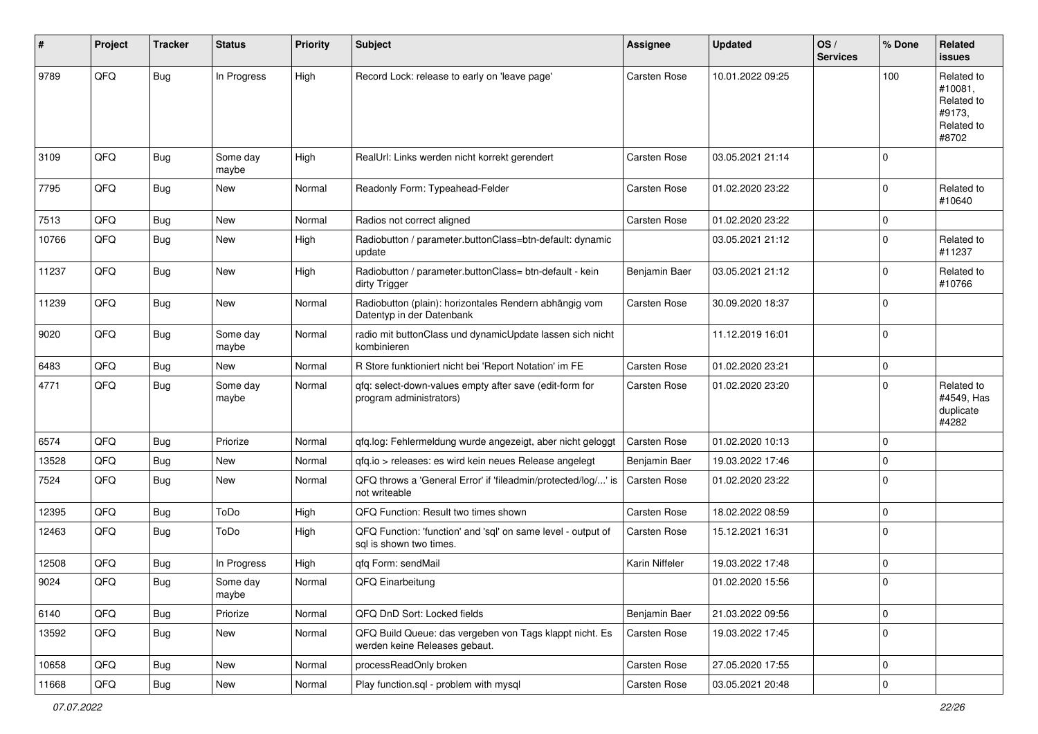| #     | Project | <b>Tracker</b> | <b>Status</b>     | <b>Priority</b> | Subject                                                                                  | <b>Assignee</b>     | <b>Updated</b>   | OS/<br><b>Services</b> | % Done      | <b>Related</b><br>issues                                             |
|-------|---------|----------------|-------------------|-----------------|------------------------------------------------------------------------------------------|---------------------|------------------|------------------------|-------------|----------------------------------------------------------------------|
| 9789  | QFQ     | <b>Bug</b>     | In Progress       | High            | Record Lock: release to early on 'leave page'                                            | Carsten Rose        | 10.01.2022 09:25 |                        | 100         | Related to<br>#10081,<br>Related to<br>#9173,<br>Related to<br>#8702 |
| 3109  | QFQ     | <b>Bug</b>     | Some day<br>maybe | High            | RealUrl: Links werden nicht korrekt gerendert                                            | Carsten Rose        | 03.05.2021 21:14 |                        | $\mathbf 0$ |                                                                      |
| 7795  | QFQ     | Bug            | New               | Normal          | Readonly Form: Typeahead-Felder                                                          | Carsten Rose        | 01.02.2020 23:22 |                        | $\mathbf 0$ | Related to<br>#10640                                                 |
| 7513  | QFQ     | <b>Bug</b>     | <b>New</b>        | Normal          | Radios not correct aligned                                                               | Carsten Rose        | 01.02.2020 23:22 |                        | $\mathbf 0$ |                                                                      |
| 10766 | QFQ     | Bug            | New               | High            | Radiobutton / parameter.buttonClass=btn-default: dynamic<br>update                       |                     | 03.05.2021 21:12 |                        | $\mathbf 0$ | Related to<br>#11237                                                 |
| 11237 | QFQ     | <b>Bug</b>     | <b>New</b>        | High            | Radiobutton / parameter.buttonClass= btn-default - kein<br>dirty Trigger                 | Benjamin Baer       | 03.05.2021 21:12 |                        | 0           | Related to<br>#10766                                                 |
| 11239 | QFQ     | <b>Bug</b>     | <b>New</b>        | Normal          | Radiobutton (plain): horizontales Rendern abhängig vom<br>Datentyp in der Datenbank      | Carsten Rose        | 30.09.2020 18:37 |                        | $\Omega$    |                                                                      |
| 9020  | QFQ     | <b>Bug</b>     | Some day<br>maybe | Normal          | radio mit buttonClass und dynamicUpdate lassen sich nicht<br>kombinieren                 |                     | 11.12.2019 16:01 |                        | $\mathbf 0$ |                                                                      |
| 6483  | QFQ     | Bug            | New               | Normal          | R Store funktioniert nicht bei 'Report Notation' im FE                                   | Carsten Rose        | 01.02.2020 23:21 |                        | $\mathbf 0$ |                                                                      |
| 4771  | QFQ     | <b>Bug</b>     | Some day<br>maybe | Normal          | qfq: select-down-values empty after save (edit-form for<br>program administrators)       | <b>Carsten Rose</b> | 01.02.2020 23:20 |                        | $\Omega$    | Related to<br>#4549, Has<br>duplicate<br>#4282                       |
| 6574  | QFQ     | Bug            | Priorize          | Normal          | qfq.log: Fehlermeldung wurde angezeigt, aber nicht geloggt                               | Carsten Rose        | 01.02.2020 10:13 |                        | 0           |                                                                      |
| 13528 | QFQ     | Bug            | New               | Normal          | qfq.io > releases: es wird kein neues Release angelegt                                   | Benjamin Baer       | 19.03.2022 17:46 |                        | $\mathbf 0$ |                                                                      |
| 7524  | QFQ     | Bug            | New               | Normal          | QFQ throws a 'General Error' if 'fileadmin/protected/log/' is<br>not writeable           | Carsten Rose        | 01.02.2020 23:22 |                        | $\Omega$    |                                                                      |
| 12395 | QFQ     | Bug            | ToDo              | High            | QFQ Function: Result two times shown                                                     | Carsten Rose        | 18.02.2022 08:59 |                        | 0           |                                                                      |
| 12463 | QFQ     | Bug            | ToDo              | High            | QFQ Function: 'function' and 'sgl' on same level - output of<br>sql is shown two times.  | Carsten Rose        | 15.12.2021 16:31 |                        | $\Omega$    |                                                                      |
| 12508 | QFQ     | Bug            | In Progress       | High            | qfq Form: sendMail                                                                       | Karin Niffeler      | 19.03.2022 17:48 |                        | 0           |                                                                      |
| 9024  | QFQ     | Bug            | Some day<br>maybe | Normal          | QFQ Einarbeitung                                                                         |                     | 01.02.2020 15:56 |                        | $\mathbf 0$ |                                                                      |
| 6140  | QFQ     | <b>Bug</b>     | Priorize          | Normal          | QFQ DnD Sort: Locked fields                                                              | Benjamin Baer       | 21.03.2022 09:56 |                        | $\pmb{0}$   |                                                                      |
| 13592 | QFQ     | <b>Bug</b>     | New               | Normal          | QFQ Build Queue: das vergeben von Tags klappt nicht. Es<br>werden keine Releases gebaut. | Carsten Rose        | 19.03.2022 17:45 |                        | $\pmb{0}$   |                                                                      |
| 10658 | QFQ     | Bug            | New               | Normal          | processReadOnly broken                                                                   | Carsten Rose        | 27.05.2020 17:55 |                        | $\mathbf 0$ |                                                                      |
| 11668 | QFG     | <b>Bug</b>     | New               | Normal          | Play function.sql - problem with mysql                                                   | Carsten Rose        | 03.05.2021 20:48 |                        | $\pmb{0}$   |                                                                      |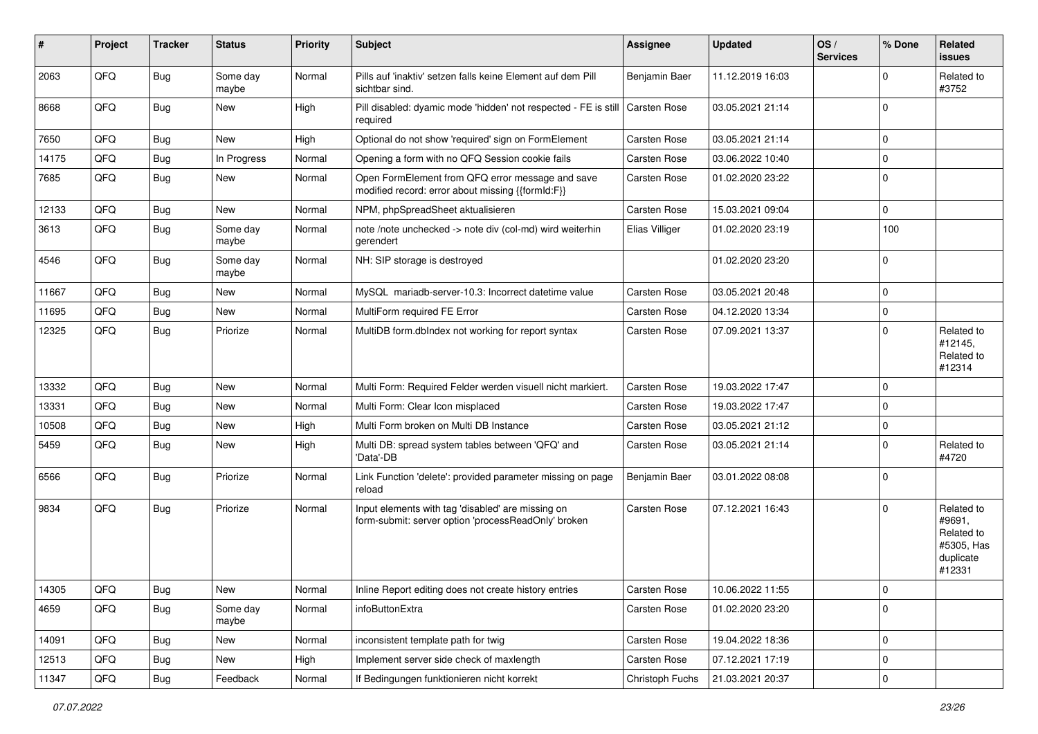| #     | Project | <b>Tracker</b> | <b>Status</b>     | <b>Priority</b> | <b>Subject</b>                                                                                           | <b>Assignee</b>     | <b>Updated</b>   | OS/<br><b>Services</b> | % Done      | Related<br><b>issues</b>                                                |
|-------|---------|----------------|-------------------|-----------------|----------------------------------------------------------------------------------------------------------|---------------------|------------------|------------------------|-------------|-------------------------------------------------------------------------|
| 2063  | QFQ     | Bug            | Some day<br>maybe | Normal          | Pills auf 'inaktiv' setzen falls keine Element auf dem Pill<br>sichtbar sind.                            | Benjamin Baer       | 11.12.2019 16:03 |                        | $\mathbf 0$ | Related to<br>#3752                                                     |
| 8668  | QFQ     | Bug            | <b>New</b>        | High            | Pill disabled: dyamic mode 'hidden' not respected - FE is still Carsten Rose<br>required                 |                     | 03.05.2021 21:14 |                        | $\mathbf 0$ |                                                                         |
| 7650  | QFQ     | Bug            | <b>New</b>        | High            | Optional do not show 'required' sign on FormElement                                                      | Carsten Rose        | 03.05.2021 21:14 |                        | $\mathbf 0$ |                                                                         |
| 14175 | QFQ     | Bug            | In Progress       | Normal          | Opening a form with no QFQ Session cookie fails                                                          | Carsten Rose        | 03.06.2022 10:40 |                        | $\mathbf 0$ |                                                                         |
| 7685  | QFQ     | Bug            | <b>New</b>        | Normal          | Open FormElement from QFQ error message and save<br>modified record: error about missing {{formId:F}}    | Carsten Rose        | 01.02.2020 23:22 |                        | $\mathbf 0$ |                                                                         |
| 12133 | QFQ     | Bug            | <b>New</b>        | Normal          | NPM, phpSpreadSheet aktualisieren                                                                        | Carsten Rose        | 15.03.2021 09:04 |                        | $\mathbf 0$ |                                                                         |
| 3613  | QFQ     | Bug            | Some day<br>maybe | Normal          | note /note unchecked -> note div (col-md) wird weiterhin<br>gerendert                                    | Elias Villiger      | 01.02.2020 23:19 |                        | 100         |                                                                         |
| 4546  | QFQ     | <b>Bug</b>     | Some day<br>maybe | Normal          | NH: SIP storage is destroyed                                                                             |                     | 01.02.2020 23:20 |                        | $\mathbf 0$ |                                                                         |
| 11667 | QFQ     | Bug            | <b>New</b>        | Normal          | MySQL mariadb-server-10.3: Incorrect datetime value                                                      | Carsten Rose        | 03.05.2021 20:48 |                        | $\mathbf 0$ |                                                                         |
| 11695 | QFQ     | Bug            | <b>New</b>        | Normal          | MultiForm required FE Error                                                                              | Carsten Rose        | 04.12.2020 13:34 |                        | $\mathbf 0$ |                                                                         |
| 12325 | QFQ     | Bug            | Priorize          | Normal          | MultiDB form.dblndex not working for report syntax                                                       | Carsten Rose        | 07.09.2021 13:37 |                        | $\mathbf 0$ | Related to<br>#12145,<br>Related to<br>#12314                           |
| 13332 | QFQ     | Bug            | <b>New</b>        | Normal          | Multi Form: Required Felder werden visuell nicht markiert.                                               | <b>Carsten Rose</b> | 19.03.2022 17:47 |                        | $\mathbf 0$ |                                                                         |
| 13331 | QFQ     | Bug            | <b>New</b>        | Normal          | Multi Form: Clear Icon misplaced                                                                         | Carsten Rose        | 19.03.2022 17:47 |                        | $\mathbf 0$ |                                                                         |
| 10508 | QFQ     | Bug            | <b>New</b>        | High            | Multi Form broken on Multi DB Instance                                                                   | Carsten Rose        | 03.05.2021 21:12 |                        | $\mathbf 0$ |                                                                         |
| 5459  | QFQ     | <b>Bug</b>     | <b>New</b>        | High            | Multi DB: spread system tables between 'QFQ' and<br>'Data'-DB                                            | Carsten Rose        | 03.05.2021 21:14 |                        | $\mathbf 0$ | Related to<br>#4720                                                     |
| 6566  | QFQ     | Bug            | Priorize          | Normal          | Link Function 'delete': provided parameter missing on page<br>reload                                     | Benjamin Baer       | 03.01.2022 08:08 |                        | $\mathbf 0$ |                                                                         |
| 9834  | QFQ     | <b>Bug</b>     | Priorize          | Normal          | Input elements with tag 'disabled' are missing on<br>form-submit: server option 'processReadOnly' broken | Carsten Rose        | 07.12.2021 16:43 |                        | $\mathbf 0$ | Related to<br>#9691,<br>Related to<br>#5305, Has<br>duplicate<br>#12331 |
| 14305 | QFG     | Bug            | <b>New</b>        | Normal          | Inline Report editing does not create history entries                                                    | Carsten Rose        | 10.06.2022 11:55 |                        | 0           |                                                                         |
| 4659  | QFQ     | <b>Bug</b>     | Some day<br>maybe | Normal          | infoButtonExtra                                                                                          | Carsten Rose        | 01.02.2020 23:20 |                        | $\mathbf 0$ |                                                                         |
| 14091 | QFQ     | <b>Bug</b>     | New               | Normal          | inconsistent template path for twig                                                                      | Carsten Rose        | 19.04.2022 18:36 |                        | $\pmb{0}$   |                                                                         |
| 12513 | QFQ     | <b>Bug</b>     | New               | High            | Implement server side check of maxlength                                                                 | Carsten Rose        | 07.12.2021 17:19 |                        | $\pmb{0}$   |                                                                         |
| 11347 | QFG     | Bug            | Feedback          | Normal          | If Bedingungen funktionieren nicht korrekt                                                               | Christoph Fuchs     | 21.03.2021 20:37 |                        | $\pmb{0}$   |                                                                         |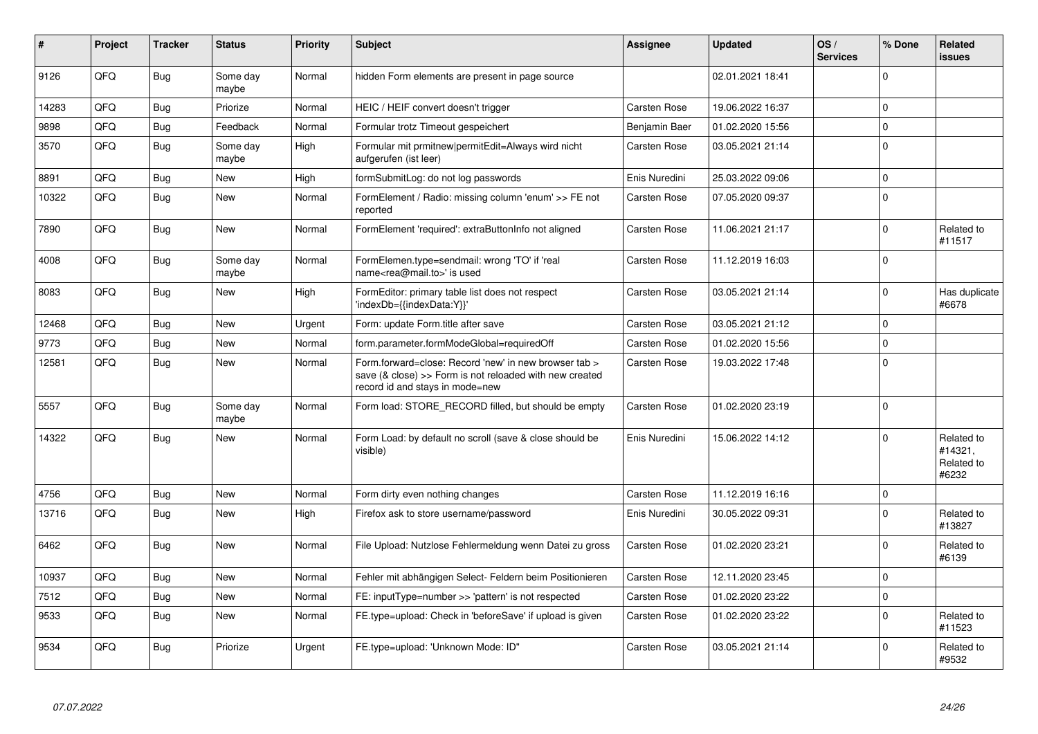| #     | Project | <b>Tracker</b> | <b>Status</b>     | <b>Priority</b> | <b>Subject</b>                                                                                                                                      | <b>Assignee</b>     | <b>Updated</b>   | OS/<br><b>Services</b> | % Done       | Related<br><b>issues</b>                     |
|-------|---------|----------------|-------------------|-----------------|-----------------------------------------------------------------------------------------------------------------------------------------------------|---------------------|------------------|------------------------|--------------|----------------------------------------------|
| 9126  | QFQ     | Bug            | Some day<br>maybe | Normal          | hidden Form elements are present in page source                                                                                                     |                     | 02.01.2021 18:41 |                        | 0            |                                              |
| 14283 | QFQ     | <b>Bug</b>     | Priorize          | Normal          | HEIC / HEIF convert doesn't trigger                                                                                                                 | <b>Carsten Rose</b> | 19.06.2022 16:37 |                        | $\pmb{0}$    |                                              |
| 9898  | QFQ     | Bug            | Feedback          | Normal          | Formular trotz Timeout gespeichert                                                                                                                  | Benjamin Baer       | 01.02.2020 15:56 |                        | $\mathbf{0}$ |                                              |
| 3570  | QFQ     | <b>Bug</b>     | Some day<br>maybe | High            | Formular mit prmitnew permitEdit=Always wird nicht<br>aufgerufen (ist leer)                                                                         | Carsten Rose        | 03.05.2021 21:14 |                        | $\pmb{0}$    |                                              |
| 8891  | QFQ     | <b>Bug</b>     | New               | High            | formSubmitLog: do not log passwords                                                                                                                 | Enis Nuredini       | 25.03.2022 09:06 |                        | $\pmb{0}$    |                                              |
| 10322 | QFQ     | <b>Bug</b>     | New               | Normal          | FormElement / Radio: missing column 'enum' >> FE not<br>reported                                                                                    | <b>Carsten Rose</b> | 07.05.2020 09:37 |                        | $\pmb{0}$    |                                              |
| 7890  | QFQ     | <b>Bug</b>     | New               | Normal          | FormElement 'required': extraButtonInfo not aligned                                                                                                 | Carsten Rose        | 11.06.2021 21:17 |                        | $\mathbf 0$  | Related to<br>#11517                         |
| 4008  | QFQ     | <b>Bug</b>     | Some day<br>maybe | Normal          | FormElemen.type=sendmail: wrong 'TO' if 'real<br>name <rea@mail.to>' is used</rea@mail.to>                                                          | <b>Carsten Rose</b> | 11.12.2019 16:03 |                        | $\mathbf 0$  |                                              |
| 8083  | QFQ     | <b>Bug</b>     | New               | High            | FormEditor: primary table list does not respect<br>'indexDb={{indexData:Y}}'                                                                        | Carsten Rose        | 03.05.2021 21:14 |                        | $\mathbf{0}$ | Has duplicate<br>#6678                       |
| 12468 | QFQ     | <b>Bug</b>     | <b>New</b>        | Urgent          | Form: update Form.title after save                                                                                                                  | Carsten Rose        | 03.05.2021 21:12 |                        | $\mathbf 0$  |                                              |
| 9773  | QFQ     | <b>Bug</b>     | New               | Normal          | form.parameter.formModeGlobal=requiredOff                                                                                                           | <b>Carsten Rose</b> | 01.02.2020 15:56 |                        | $\pmb{0}$    |                                              |
| 12581 | QFQ     | Bug            | New               | Normal          | Form.forward=close: Record 'new' in new browser tab ><br>save (& close) >> Form is not reloaded with new created<br>record id and stays in mode=new | Carsten Rose        | 19.03.2022 17:48 |                        | $\mathbf 0$  |                                              |
| 5557  | QFQ     | Bug            | Some day<br>maybe | Normal          | Form load: STORE RECORD filled, but should be empty                                                                                                 | Carsten Rose        | 01.02.2020 23:19 |                        | $\mathbf 0$  |                                              |
| 14322 | QFQ.    | <b>Bug</b>     | New               | Normal          | Form Load: by default no scroll (save & close should be<br>visible)                                                                                 | Enis Nuredini       | 15.06.2022 14:12 |                        | $\Omega$     | Related to<br>#14321,<br>Related to<br>#6232 |
| 4756  | QFQ     | <b>Bug</b>     | New               | Normal          | Form dirty even nothing changes                                                                                                                     | <b>Carsten Rose</b> | 11.12.2019 16:16 |                        | $\mathbf{0}$ |                                              |
| 13716 | QFQ     | Bug            | <b>New</b>        | High            | Firefox ask to store username/password                                                                                                              | Enis Nuredini       | 30.05.2022 09:31 |                        | $\mathbf{0}$ | Related to<br>#13827                         |
| 6462  | QFQ     | <b>Bug</b>     | New               | Normal          | File Upload: Nutzlose Fehlermeldung wenn Datei zu gross                                                                                             | Carsten Rose        | 01.02.2020 23:21 |                        | $\Omega$     | Related to<br>#6139                          |
| 10937 | QFQ     | Bug            | New               | Normal          | Fehler mit abhängigen Select- Feldern beim Positionieren                                                                                            | Carsten Rose        | 12.11.2020 23:45 |                        | $\pmb{0}$    |                                              |
| 7512  | QFQ     | <b>Bug</b>     | New               | Normal          | FE: inputType=number >> 'pattern' is not respected                                                                                                  | <b>Carsten Rose</b> | 01.02.2020 23:22 |                        | $\pmb{0}$    |                                              |
| 9533  | QFQ     | <b>Bug</b>     | New               | Normal          | FE.type=upload: Check in 'beforeSave' if upload is given                                                                                            | <b>Carsten Rose</b> | 01.02.2020 23:22 |                        | $\mathbf 0$  | Related to<br>#11523                         |
| 9534  | QFQ     | <b>Bug</b>     | Priorize          | Urgent          | FE.type=upload: 'Unknown Mode: ID"                                                                                                                  | <b>Carsten Rose</b> | 03.05.2021 21:14 |                        | $\Omega$     | Related to<br>#9532                          |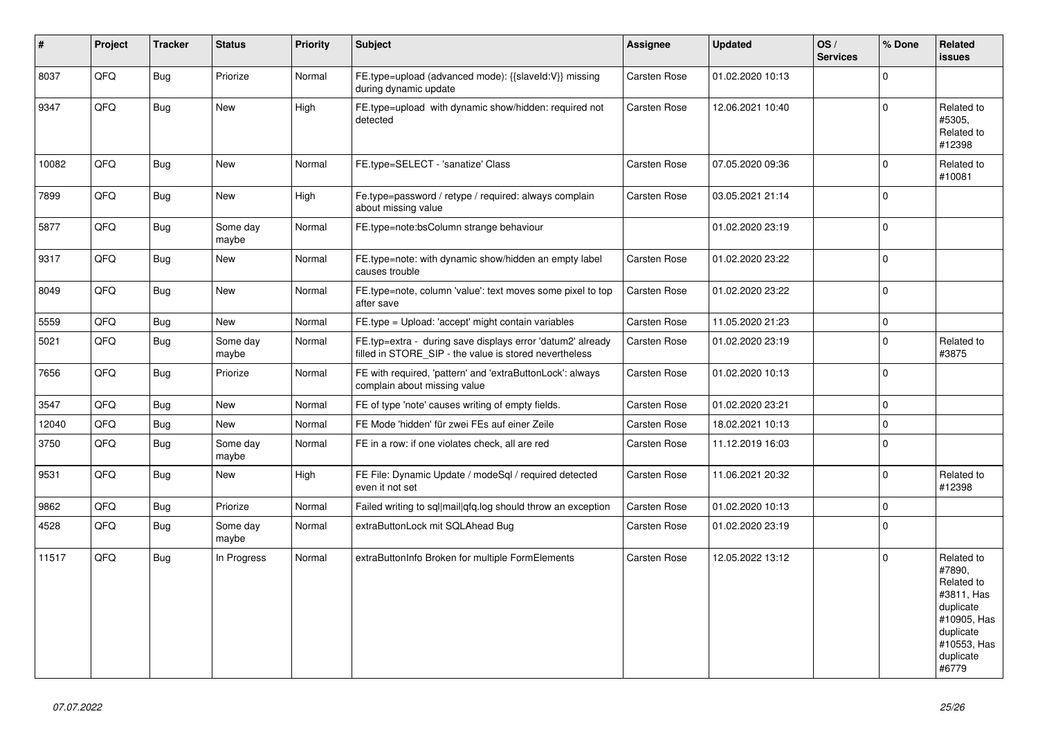| $\pmb{\sharp}$ | Project | <b>Tracker</b> | <b>Status</b>     | <b>Priority</b> | <b>Subject</b>                                                                                                       | <b>Assignee</b>     | <b>Updated</b>   | OS/<br><b>Services</b> | % Done       | Related<br><b>issues</b>                                                                                                       |
|----------------|---------|----------------|-------------------|-----------------|----------------------------------------------------------------------------------------------------------------------|---------------------|------------------|------------------------|--------------|--------------------------------------------------------------------------------------------------------------------------------|
| 8037           | QFQ     | Bug            | Priorize          | Normal          | FE.type=upload (advanced mode): {{slaveld:V}} missing<br>during dynamic update                                       | <b>Carsten Rose</b> | 01.02.2020 10:13 |                        | $\Omega$     |                                                                                                                                |
| 9347           | QFQ     | Bug            | New               | High            | FE.type=upload with dynamic show/hidden: required not<br>detected                                                    | Carsten Rose        | 12.06.2021 10:40 |                        | $\pmb{0}$    | Related to<br>#5305,<br>Related to<br>#12398                                                                                   |
| 10082          | QFQ     | Bug            | <b>New</b>        | Normal          | FE.type=SELECT - 'sanatize' Class                                                                                    | Carsten Rose        | 07.05.2020 09:36 |                        | $\mathbf{0}$ | Related to<br>#10081                                                                                                           |
| 7899           | QFQ     | Bug            | <b>New</b>        | High            | Fe.type=password / retype / required: always complain<br>about missing value                                         | Carsten Rose        | 03.05.2021 21:14 |                        | $\pmb{0}$    |                                                                                                                                |
| 5877           | QFQ     | <b>Bug</b>     | Some day<br>maybe | Normal          | FE.type=note:bsColumn strange behaviour                                                                              |                     | 01.02.2020 23:19 |                        | $\mathbf 0$  |                                                                                                                                |
| 9317           | QFQ     | <b>Bug</b>     | New               | Normal          | FE.type=note: with dynamic show/hidden an empty label<br>causes trouble                                              | Carsten Rose        | 01.02.2020 23:22 |                        | $\mathbf{0}$ |                                                                                                                                |
| 8049           | QFQ     | Bug            | New               | Normal          | FE.type=note, column 'value': text moves some pixel to top<br>after save                                             | Carsten Rose        | 01.02.2020 23:22 |                        | $\pmb{0}$    |                                                                                                                                |
| 5559           | QFQ     | <b>Bug</b>     | <b>New</b>        | Normal          | FE.type = Upload: 'accept' might contain variables                                                                   | <b>Carsten Rose</b> | 11.05.2020 21:23 |                        | $\pmb{0}$    |                                                                                                                                |
| 5021           | QFQ     | Bug            | Some day<br>maybe | Normal          | FE.typ=extra - during save displays error 'datum2' already<br>filled in STORE_SIP - the value is stored nevertheless | Carsten Rose        | 01.02.2020 23:19 |                        | $\pmb{0}$    | Related to<br>#3875                                                                                                            |
| 7656           | QFQ     | Bug            | Priorize          | Normal          | FE with required, 'pattern' and 'extraButtonLock': always<br>complain about missing value                            | Carsten Rose        | 01.02.2020 10:13 |                        | $\pmb{0}$    |                                                                                                                                |
| 3547           | QFQ     | <b>Bug</b>     | <b>New</b>        | Normal          | FE of type 'note' causes writing of empty fields.                                                                    | Carsten Rose        | 01.02.2020 23:21 |                        | $\pmb{0}$    |                                                                                                                                |
| 12040          | QFQ     | Bug            | <b>New</b>        | Normal          | FE Mode 'hidden' für zwei FEs auf einer Zeile                                                                        | <b>Carsten Rose</b> | 18.02.2021 10:13 |                        | 0            |                                                                                                                                |
| 3750           | QFQ     | <b>Bug</b>     | Some day<br>maybe | Normal          | FE in a row: if one violates check, all are red                                                                      | <b>Carsten Rose</b> | 11.12.2019 16:03 |                        | $\mathbf 0$  |                                                                                                                                |
| 9531           | QFQ     | <b>Bug</b>     | New               | High            | FE File: Dynamic Update / modeSql / required detected<br>even it not set                                             | Carsten Rose        | 11.06.2021 20:32 |                        | $\mathbf{0}$ | Related to<br>#12398                                                                                                           |
| 9862           | QFQ     | Bug            | Priorize          | Normal          | Failed writing to sql mail qfq.log should throw an exception                                                         | <b>Carsten Rose</b> | 01.02.2020 10:13 |                        | 0            |                                                                                                                                |
| 4528           | QFQ     | Bug            | Some day<br>maybe | Normal          | extraButtonLock mit SQLAhead Bug                                                                                     | Carsten Rose        | 01.02.2020 23:19 |                        | $\mathbf{0}$ |                                                                                                                                |
| 11517          | QFQ     | Bug            | In Progress       | Normal          | extraButtonInfo Broken for multiple FormElements                                                                     | Carsten Rose        | 12.05.2022 13:12 |                        | $\pmb{0}$    | Related to<br>#7890.<br>Related to<br>#3811, Has<br>duplicate<br>#10905, Has<br>duplicate<br>#10553, Has<br>duplicate<br>#6779 |